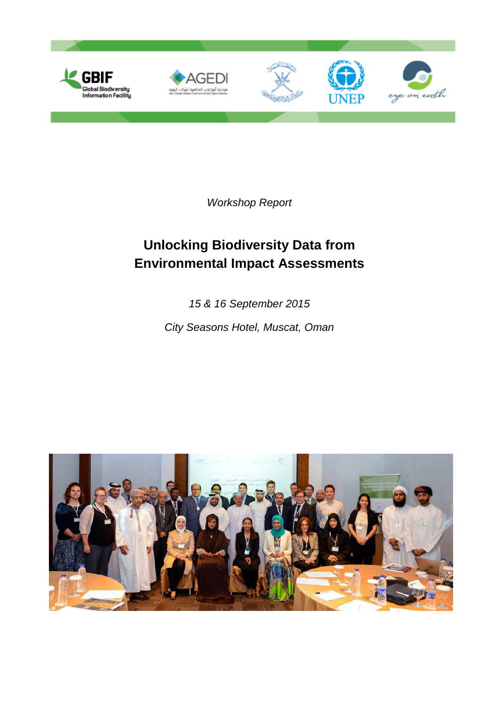

*Workshop Report*

# **Unlocking Biodiversity Data from Environmental Impact Assessments**

*15 & 16 September 2015*

*City Seasons Hotel, Muscat, Oman*

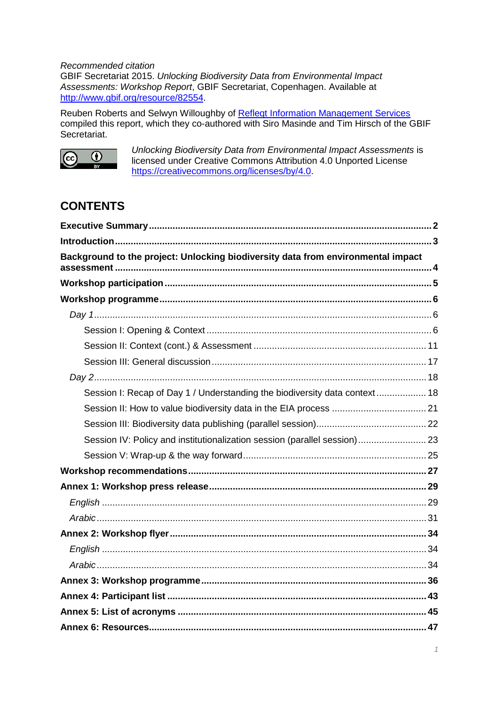*Recommended citation*

GBIF Secretariat 2015. *Unlocking Biodiversity Data from Environmental Impact Assessments: Workshop Report*, GBIF Secretariat, Copenhagen. Available at [http://www.gbif.org/resource/82554.](http://www.gbif.org/resource/82554)

Reuben Roberts and Selwyn Willoughby of [Refleqt Information Management Services](http://refleqt.co.za/) compiled this report, which they co-authored with Siro Masinde and Tim Hirsch of the GBIF Secretariat.



*Unlocking Biodiversity Data from Environmental Impact Assessments* is licensed under Creative Commons Attribution 4.0 Unported License [https://creativecommons.org/licenses/by/4.0.](https://creativecommons.org/licenses/by/4.0)

# **CONTENTS**

| Background to the project: Unlocking biodiversity data from environmental impact |  |
|----------------------------------------------------------------------------------|--|
|                                                                                  |  |
|                                                                                  |  |
|                                                                                  |  |
|                                                                                  |  |
|                                                                                  |  |
|                                                                                  |  |
|                                                                                  |  |
| Session I: Recap of Day 1 / Understanding the biodiversity data context 18       |  |
|                                                                                  |  |
|                                                                                  |  |
| Session IV: Policy and institutionalization session (parallel session) 23        |  |
|                                                                                  |  |
|                                                                                  |  |
|                                                                                  |  |
|                                                                                  |  |
|                                                                                  |  |
|                                                                                  |  |
|                                                                                  |  |
|                                                                                  |  |
|                                                                                  |  |
|                                                                                  |  |
|                                                                                  |  |
|                                                                                  |  |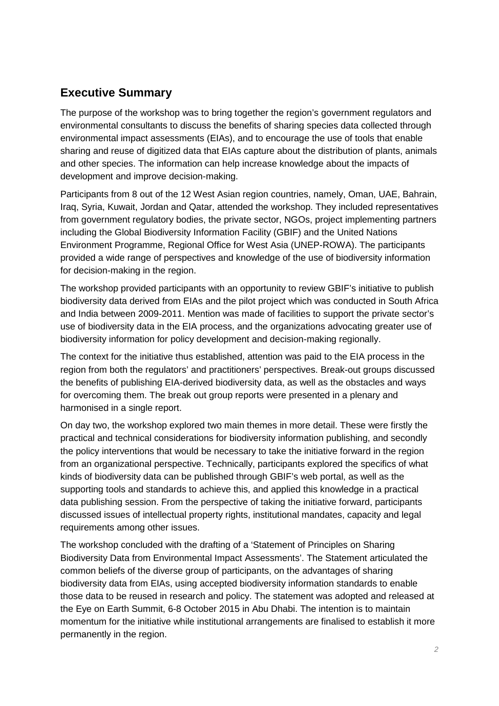# **Executive Summary**

The purpose of the workshop was to bring together the region's government regulators and environmental consultants to discuss the benefits of sharing species data collected through environmental impact assessments (EIAs), and to encourage the use of tools that enable sharing and reuse of digitized data that EIAs capture about the distribution of plants, animals and other species. The information can help increase knowledge about the impacts of development and improve decision-making.

Participants from 8 out of the 12 West Asian region countries, namely, Oman, UAE, Bahrain, Iraq, Syria, Kuwait, Jordan and Qatar, attended the workshop. They included representatives from government regulatory bodies, the private sector, NGOs, project implementing partners including the Global Biodiversity Information Facility (GBIF) and the United Nations Environment Programme, Regional Office for West Asia (UNEP-ROWA). The participants provided a wide range of perspectives and knowledge of the use of biodiversity information for decision-making in the region.

The workshop provided participants with an opportunity to review GBIF's initiative to publish biodiversity data derived from EIAs and the pilot project which was conducted in South Africa and India between 2009-2011. Mention was made of facilities to support the private sector's use of biodiversity data in the EIA process, and the organizations advocating greater use of biodiversity information for policy development and decision-making regionally.

The context for the initiative thus established, attention was paid to the EIA process in the region from both the regulators' and practitioners' perspectives. Break-out groups discussed the benefits of publishing EIA-derived biodiversity data, as well as the obstacles and ways for overcoming them. The break out group reports were presented in a plenary and harmonised in a single report.

On day two, the workshop explored two main themes in more detail. These were firstly the practical and technical considerations for biodiversity information publishing, and secondly the policy interventions that would be necessary to take the initiative forward in the region from an organizational perspective. Technically, participants explored the specifics of what kinds of biodiversity data can be published through GBIF's web portal, as well as the supporting tools and standards to achieve this, and applied this knowledge in a practical data publishing session. From the perspective of taking the initiative forward, participants discussed issues of intellectual property rights, institutional mandates, capacity and legal requirements among other issues.

The workshop concluded with the drafting of a 'Statement of Principles on Sharing Biodiversity Data from Environmental Impact Assessments'. The Statement articulated the common beliefs of the diverse group of participants, on the advantages of sharing biodiversity data from EIAs, using accepted biodiversity information standards to enable those data to be reused in research and policy. The statement was adopted and released at the Eye on Earth Summit, 6-8 October 2015 in Abu Dhabi. The intention is to maintain momentum for the initiative while institutional arrangements are finalised to establish it more permanently in the region.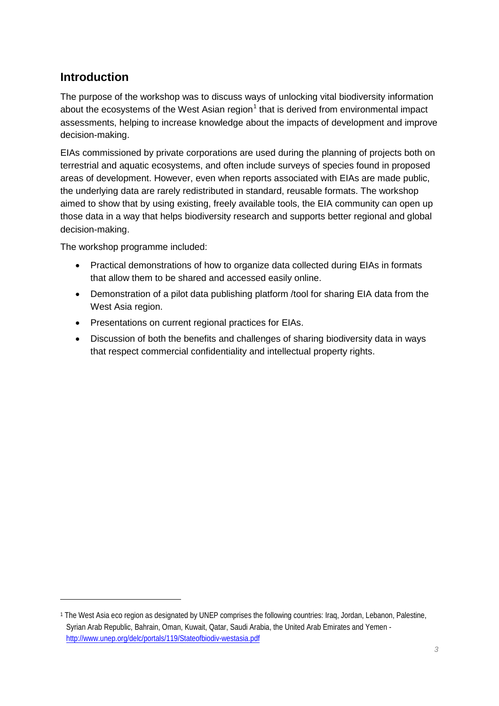# **Introduction**

-

The purpose of the workshop was to discuss ways of unlocking vital biodiversity information about the ecosystems of the West Asian region $<sup>1</sup>$  $<sup>1</sup>$  $<sup>1</sup>$  that is derived from environmental impact</sup> assessments, helping to increase knowledge about the impacts of development and improve decision-making.

EIAs commissioned by private corporations are used during the planning of projects both on terrestrial and aquatic ecosystems, and often include surveys of species found in proposed areas of development. However, even when reports associated with EIAs are made public, the underlying data are rarely redistributed in standard, reusable formats. The workshop aimed to show that by using existing, freely available tools, the EIA community can open up those data in a way that helps biodiversity research and supports better regional and global decision-making.

The workshop programme included:

- Practical demonstrations of how to organize data collected during EIAs in formats that allow them to be shared and accessed easily online.
- Demonstration of a pilot data publishing platform /tool for sharing EIA data from the West Asia region.
- Presentations on current regional practices for EIAs.
- Discussion of both the benefits and challenges of sharing biodiversity data in ways that respect commercial confidentiality and intellectual property rights.

<span id="page-3-0"></span><sup>1</sup> The West Asia eco region as designated by UNEP comprises the following countries: Iraq, Jordan, Lebanon, Palestine, Syrian Arab Republic, Bahrain, Oman, Kuwait, Qatar, Saudi Arabia, the United Arab Emirates and Yemen <http://www.unep.org/delc/portals/119/Stateofbiodiv-westasia.pdf>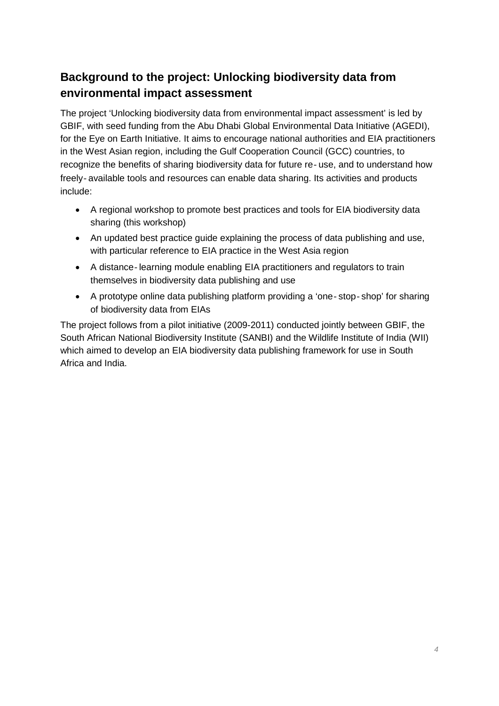# **Background to the project: Unlocking biodiversity data from environmental impact assessment**

The project 'Unlocking biodiversity data from environmental impact assessment' is led by GBIF, with seed funding from the Abu Dhabi Global Environmental Data Initiative (AGEDI), for the Eye on Earth Initiative. It aims to encourage national authorities and EIA practitioners in the West Asian region, including the Gulf Cooperation Council (GCC) countries, to recognize the benefits of sharing biodiversity data for future re‐use, and to understand how freely‐available tools and resources can enable data sharing. Its activities and products include:

- A regional workshop to promote best practices and tools for EIA biodiversity data sharing (this workshop)
- An updated best practice guide explaining the process of data publishing and use, with particular reference to EIA practice in the West Asia region
- A distance-learning module enabling EIA practitioners and regulators to train themselves in biodiversity data publishing and use
- A prototype online data publishing platform providing a 'one‐stop‐shop' for sharing of biodiversity data from EIAs

The project follows from a pilot initiative (2009-2011) conducted jointly between GBIF, the South African National Biodiversity Institute (SANBI) and the Wildlife Institute of India (WII) which aimed to develop an EIA biodiversity data publishing framework for use in South Africa and India.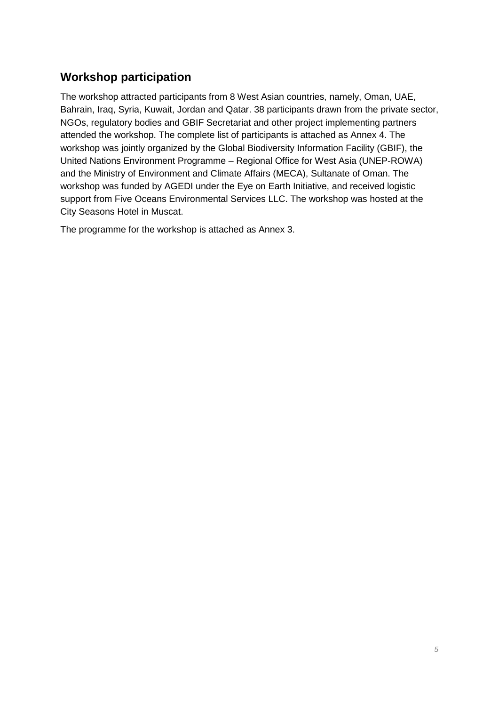# **Workshop participation**

The workshop attracted participants from 8 West Asian countries, namely, Oman, UAE, Bahrain, Iraq, Syria, Kuwait, Jordan and Qatar. 38 participants drawn from the private sector, NGOs, regulatory bodies and GBIF Secretariat and other project implementing partners attended the workshop. The complete list of participants is attached as Annex 4. The workshop was jointly organized by the Global Biodiversity Information Facility (GBIF), the United Nations Environment Programme – Regional Office for West Asia (UNEP-ROWA) and the Ministry of Environment and Climate Affairs (MECA), Sultanate of Oman. The workshop was funded by AGEDI under the Eye on Earth Initiative, and received logistic support from Five Oceans Environmental Services LLC. The workshop was hosted at the City Seasons Hotel in Muscat.

The programme for the workshop is attached as Annex 3.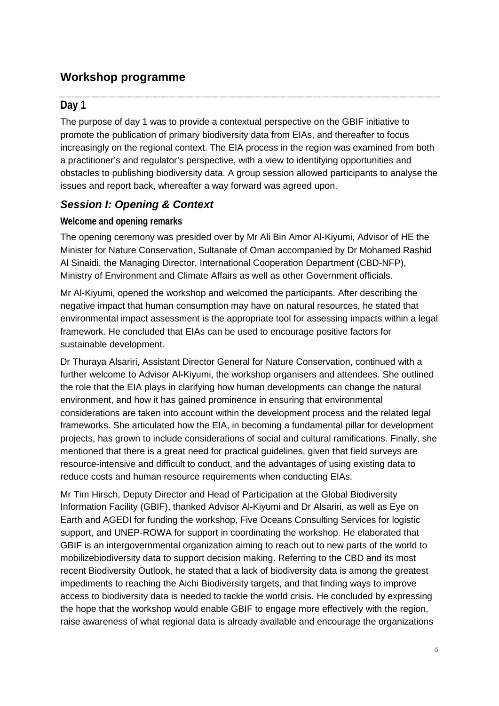# **Workshop programme**

# **Day 1**

The purpose of day 1 was to provide a contextual perspective on the GBIF initiative to promote the publication of primary biodiversity data from EIAs, and thereafter to focus increasingly on the regional context. The EIA process in the region was examined from both a practitioner's and regulator's perspective, with a view to identifying opportunities and obstacles to publishing biodiversity data. A group session allowed participants to analyse the issues and report back, whereafter a way forward was agreed upon.

# *Session I: Opening & Context*

## **Welcome and opening remarks**

The opening ceremony was presided over by Mr Ali Bin Amor Al-Kiyumi, Advisor of HE the Minister for Nature Conservation, Sultanate of Oman accompanied by Dr Mohamed Rashid Al Sinaidi, the Managing Director, International Cooperation Department (CBD-NFP), Ministry of Environment and Climate Affairs as well as other Government officials.

Mr Al-Kiyumi, opened the workshop and welcomed the participants. After describing the negative impact that human consumption may have on natural resources, he stated that environmental impact assessment is the appropriate tool for assessing impacts within a legal framework. He concluded that EIAs can be used to encourage positive factors for sustainable development.

Dr Thuraya Alsariri, Assistant Director General for Nature Conservation, continued with a further welcome to Advisor Al*-*Kiyumi, the workshop organisers and attendees. She outlined the role that the EIA plays in clarifying how human developments can change the natural environment, and how it has gained prominence in ensuring that environmental considerations are taken into account within the development process and the related legal frameworks. She articulated how the EIA, in becoming a fundamental pillar for development projects, has grown to include considerations of social and cultural ramifications. Finally, she mentioned that there is a great need for practical guidelines, given that field surveys are resource-intensive and difficult to conduct, and the advantages of using existing data to reduce costs and human resource requirements when conducting EIAs.

Mr Tim Hirsch, Deputy Director and Head of Participation at the Global Biodiversity Information Facility (GBIF), thanked Advisor Al*-*Kiyumi and Dr Alsariri, as well as Eye on Earth and AGEDI for funding the workshop, Five Oceans Consulting Services for logistic support, and UNEP-ROWA for support in coordinating the workshop. He elaborated that GBIF is an intergovernmental organization aiming to reach out to new parts of the world to mobilizebiodiversity data to support decision making. Referring to the CBD and its most recent Biodiversity Outlook, he stated that a lack of biodiversity data is among the greatest impediments to reaching the Aichi Biodiversity targets, and that finding ways to improve access to biodiversity data is needed to tackle the world crisis. He concluded by expressing the hope that the workshop would enable GBIF to engage more effectively with the region, raise awareness of what regional data is already available and encourage the organizations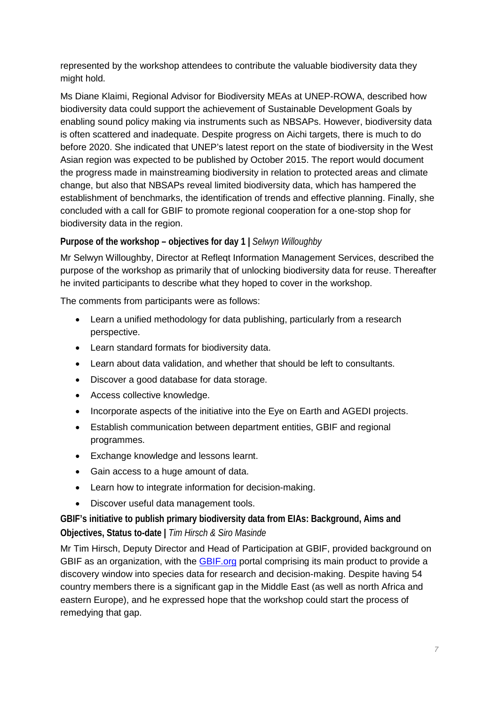represented by the workshop attendees to contribute the valuable biodiversity data they might hold.

Ms Diane Klaimi, Regional Advisor for Biodiversity MEAs at UNEP-ROWA, described how biodiversity data could support the achievement of Sustainable Development Goals by enabling sound policy making via instruments such as NBSAPs. However, biodiversity data is often scattered and inadequate. Despite progress on Aichi targets, there is much to do before 2020. She indicated that UNEP's latest report on the state of biodiversity in the West Asian region was expected to be published by October 2015. The report would document the progress made in mainstreaming biodiversity in relation to protected areas and climate change, but also that NBSAPs reveal limited biodiversity data, which has hampered the establishment of benchmarks, the identification of trends and effective planning. Finally, she concluded with a call for GBIF to promote regional cooperation for a one-stop shop for biodiversity data in the region.

# **Purpose of the workshop – objectives for day 1 |** *Selwyn Willoughby*

Mr Selwyn Willoughby, Director at Refleqt Information Management Services, described the purpose of the workshop as primarily that of unlocking biodiversity data for reuse. Thereafter he invited participants to describe what they hoped to cover in the workshop.

The comments from participants were as follows:

- Learn a unified methodology for data publishing, particularly from a research perspective.
- Learn standard formats for biodiversity data.
- Learn about data validation, and whether that should be left to consultants.
- Discover a good database for data storage.
- Access collective knowledge.
- Incorporate aspects of the initiative into the Eye on Earth and AGEDI projects.
- Establish communication between department entities, GBIF and regional programmes.
- Exchange knowledge and lessons learnt.
- Gain access to a huge amount of data.
- Learn how to integrate information for decision-making.
- Discover useful data management tools.

**GBIF's initiative to publish primary biodiversity data from EIAs: Background, Aims and Objectives, Status to-date |** *Tim Hirsch & Siro Masinde*

Mr Tim Hirsch, Deputy Director and Head of Participation at GBIF, provided background on GBIF as an organization, with the GBIF.org portal comprising its main product to provide a discovery window into species data for research and decision-making. Despite having 54 country members there is a significant gap in the Middle East (as well as north Africa and eastern Europe), and he expressed hope that the workshop could start the process of remedying that gap.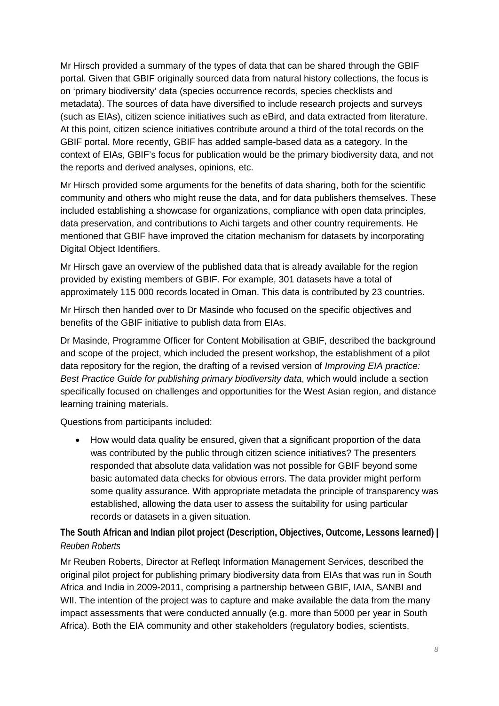Mr Hirsch provided a summary of the types of data that can be shared through the GBIF portal. Given that GBIF originally sourced data from natural history collections, the focus is on 'primary biodiversity' data (species occurrence records, species checklists and metadata). The sources of data have diversified to include research projects and surveys (such as EIAs), citizen science initiatives such as eBird, and data extracted from literature. At this point, citizen science initiatives contribute around a third of the total records on the GBIF portal. More recently, GBIF has added sample-based data as a category. In the context of EIAs, GBIF's focus for publication would be the primary biodiversity data, and not the reports and derived analyses, opinions, etc.

Mr Hirsch provided some arguments for the benefits of data sharing, both for the scientific community and others who might reuse the data, and for data publishers themselves. These included establishing a showcase for organizations, compliance with open data principles, data preservation, and contributions to Aichi targets and other country requirements. He mentioned that GBIF have improved the citation mechanism for datasets by incorporating Digital Object Identifiers.

Mr Hirsch gave an overview of the published data that is already available for the region provided by existing members of GBIF. For example, 301 datasets have a total of approximately 115 000 records located in Oman. This data is contributed by 23 countries.

Mr Hirsch then handed over to Dr Masinde who focused on the specific objectives and benefits of the GBIF initiative to publish data from EIAs.

Dr Masinde, Programme Officer for Content Mobilisation at GBIF, described the background and scope of the project, which included the present workshop, the establishment of a pilot data repository for the region, the drafting of a revised version of *Improving EIA practice: Best Practice Guide for publishing primary biodiversity data*, which would include a section specifically focused on challenges and opportunities for the West Asian region, and distance learning training materials.

Questions from participants included:

• How would data quality be ensured, given that a significant proportion of the data was contributed by the public through citizen science initiatives? The presenters responded that absolute data validation was not possible for GBIF beyond some basic automated data checks for obvious errors. The data provider might perform some quality assurance. With appropriate metadata the principle of transparency was established, allowing the data user to assess the suitability for using particular records or datasets in a given situation.

**The South African and Indian pilot project (Description, Objectives, Outcome, Lessons learned) |**  *Reuben Roberts*

Mr Reuben Roberts, Director at Refleqt Information Management Services, described the original pilot project for publishing primary biodiversity data from EIAs that was run in South Africa and India in 2009-2011, comprising a partnership between GBIF, IAIA, SANBI and WII. The intention of the project was to capture and make available the data from the many impact assessments that were conducted annually (e.g. more than 5000 per year in South Africa). Both the EIA community and other stakeholders (regulatory bodies, scientists,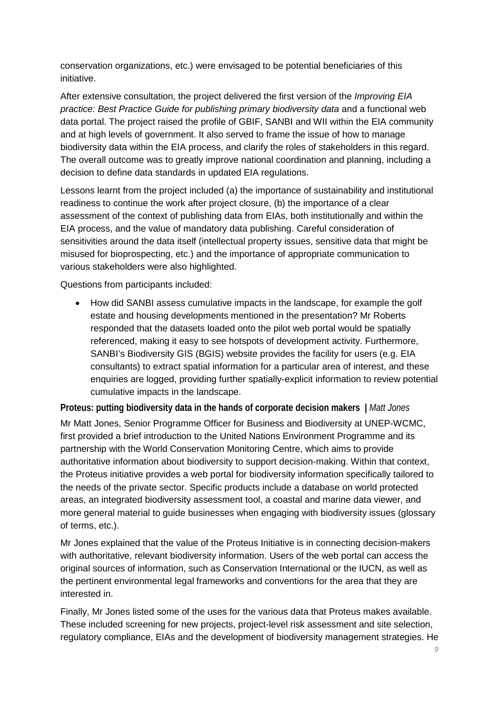conservation organizations, etc.) were envisaged to be potential beneficiaries of this initiative.

After extensive consultation, the project delivered the first version of the *Improving EIA practice: Best Practice Guide for publishing primary biodiversity data* and a functional web data portal. The project raised the profile of GBIF, SANBI and WII within the EIA community and at high levels of government. It also served to frame the issue of how to manage biodiversity data within the EIA process, and clarify the roles of stakeholders in this regard. The overall outcome was to greatly improve national coordination and planning, including a decision to define data standards in updated EIA regulations.

Lessons learnt from the project included (a) the importance of sustainability and institutional readiness to continue the work after project closure, (b) the importance of a clear assessment of the context of publishing data from EIAs, both institutionally and within the EIA process, and the value of mandatory data publishing. Careful consideration of sensitivities around the data itself (intellectual property issues, sensitive data that might be misused for bioprospecting, etc.) and the importance of appropriate communication to various stakeholders were also highlighted.

Questions from participants included:

• How did SANBI assess cumulative impacts in the landscape, for example the golf estate and housing developments mentioned in the presentation? Mr Roberts responded that the datasets loaded onto the pilot web portal would be spatially referenced, making it easy to see hotspots of development activity. Furthermore, SANBI's Biodiversity GIS (BGIS) website provides the facility for users (e.g. EIA consultants) to extract spatial information for a particular area of interest, and these enquiries are logged, providing further spatially-explicit information to review potential cumulative impacts in the landscape.

**Proteus: putting biodiversity data in the hands of corporate decision makers |** *Matt Jones*

Mr Matt Jones, Senior Programme Officer for Business and Biodiversity at UNEP-WCMC, first provided a brief introduction to the United Nations Environment Programme and its partnership with the World Conservation Monitoring Centre, which aims to provide authoritative information about biodiversity to support decision-making. Within that context, the Proteus initiative provides a web portal for biodiversity information specifically tailored to the needs of the private sector. Specific products include a database on world protected areas, an integrated biodiversity assessment tool, a coastal and marine data viewer, and more general material to guide businesses when engaging with biodiversity issues (glossary of terms, etc.).

Mr Jones explained that the value of the Proteus Initiative is in connecting decision-makers with authoritative, relevant biodiversity information. Users of the web portal can access the original sources of information, such as Conservation International or the IUCN, as well as the pertinent environmental legal frameworks and conventions for the area that they are interested in.

Finally, Mr Jones listed some of the uses for the various data that Proteus makes available. These included screening for new projects, project-level risk assessment and site selection, regulatory compliance, EIAs and the development of biodiversity management strategies. He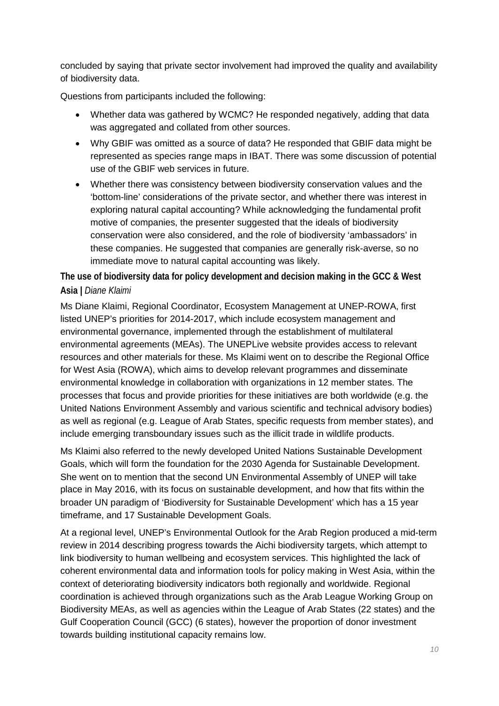concluded by saying that private sector involvement had improved the quality and availability of biodiversity data.

Questions from participants included the following:

- Whether data was gathered by WCMC? He responded negatively, adding that data was aggregated and collated from other sources.
- Why GBIF was omitted as a source of data? He responded that GBIF data might be represented as species range maps in IBAT. There was some discussion of potential use of the GBIF web services in future.
- Whether there was consistency between biodiversity conservation values and the 'bottom-line' considerations of the private sector, and whether there was interest in exploring natural capital accounting? While acknowledging the fundamental profit motive of companies, the presenter suggested that the ideals of biodiversity conservation were also considered, and the role of biodiversity 'ambassadors' in these companies. He suggested that companies are generally risk-averse, so no immediate move to natural capital accounting was likely.

**The use of biodiversity data for policy development and decision making in the GCC & West Asia |** *Diane Klaimi*

Ms Diane Klaimi, Regional Coordinator, Ecosystem Management at UNEP-ROWA, first listed UNEP's priorities for 2014-2017, which include ecosystem management and environmental governance, implemented through the establishment of multilateral environmental agreements (MEAs). The UNEPLive website provides access to relevant resources and other materials for these. Ms Klaimi went on to describe the Regional Office for West Asia (ROWA), which aims to develop relevant programmes and disseminate environmental knowledge in collaboration with organizations in 12 member states. The processes that focus and provide priorities for these initiatives are both worldwide (e.g. the United Nations Environment Assembly and various scientific and technical advisory bodies) as well as regional (e.g. League of Arab States, specific requests from member states), and include emerging transboundary issues such as the illicit trade in wildlife products.

Ms Klaimi also referred to the newly developed United Nations Sustainable Development Goals, which will form the foundation for the 2030 Agenda for Sustainable Development. She went on to mention that the second UN Environmental Assembly of UNEP will take place in May 2016, with its focus on sustainable development, and how that fits within the broader UN paradigm of 'Biodiversity for Sustainable Development' which has a 15 year timeframe, and 17 Sustainable Development Goals.

At a regional level, UNEP's Environmental Outlook for the Arab Region produced a mid-term review in 2014 describing progress towards the Aichi biodiversity targets, which attempt to link biodiversity to human wellbeing and ecosystem services. This highlighted the lack of coherent environmental data and information tools for policy making in West Asia, within the context of deteriorating biodiversity indicators both regionally and worldwide. Regional coordination is achieved through organizations such as the Arab League Working Group on Biodiversity MEAs, as well as agencies within the League of Arab States (22 states) and the Gulf Cooperation Council (GCC) (6 states), however the proportion of donor investment towards building institutional capacity remains low.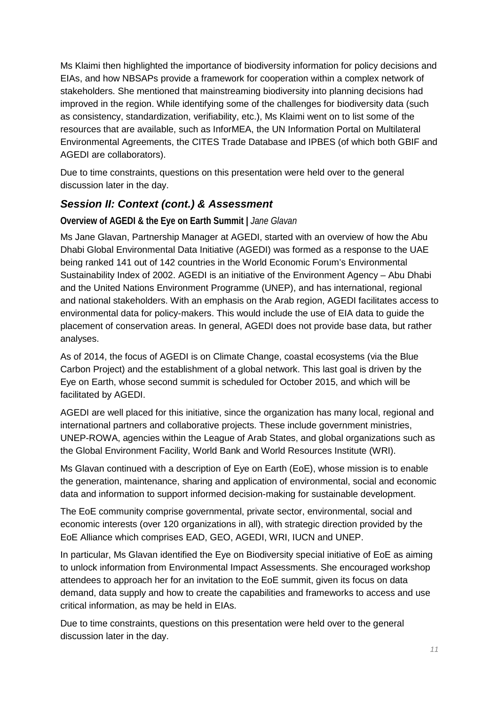Ms Klaimi then highlighted the importance of biodiversity information for policy decisions and EIAs, and how NBSAPs provide a framework for cooperation within a complex network of stakeholders. She mentioned that mainstreaming biodiversity into planning decisions had improved in the region. While identifying some of the challenges for biodiversity data (such as consistency, standardization, verifiability, etc.), Ms Klaimi went on to list some of the resources that are available, such as InforMEA, the UN Information Portal on Multilateral Environmental Agreements, the CITES Trade Database and IPBES (of which both GBIF and AGEDI are collaborators).

Due to time constraints, questions on this presentation were held over to the general discussion later in the day.

# *Session II: Context (cont.) & Assessment*

**Overview of AGEDI & the Eye on Earth Summit |** *Jane Glavan*

Ms Jane Glavan, Partnership Manager at AGEDI, started with an overview of how the Abu Dhabi Global Environmental Data Initiative (AGEDI) was formed as a response to the UAE being ranked 141 out of 142 countries in the World Economic Forum's Environmental Sustainability Index of 2002. AGEDI is an initiative of the Environment Agency – Abu Dhabi and the United Nations Environment Programme (UNEP), and has international, regional and national stakeholders. With an emphasis on the Arab region, AGEDI facilitates access to environmental data for policy-makers. This would include the use of EIA data to guide the placement of conservation areas. In general, AGEDI does not provide base data, but rather analyses.

As of 2014, the focus of AGEDI is on Climate Change, coastal ecosystems (via the Blue Carbon Project) and the establishment of a global network. This last goal is driven by the Eye on Earth, whose second summit is scheduled for October 2015, and which will be facilitated by AGEDI.

AGEDI are well placed for this initiative, since the organization has many local, regional and international partners and collaborative projects. These include government ministries, UNEP-ROWA, agencies within the League of Arab States, and global organizations such as the Global Environment Facility, World Bank and World Resources Institute (WRI).

Ms Glavan continued with a description of Eye on Earth (EoE), whose mission is to enable the generation, maintenance, sharing and application of environmental, social and economic data and information to support informed decision-making for sustainable development.

The EoE community comprise governmental, private sector, environmental, social and economic interests (over 120 organizations in all), with strategic direction provided by the EoE Alliance which comprises EAD, GEO, AGEDI, WRI, IUCN and UNEP.

In particular, Ms Glavan identified the Eye on Biodiversity special initiative of EoE as aiming to unlock information from Environmental Impact Assessments. She encouraged workshop attendees to approach her for an invitation to the EoE summit, given its focus on data demand, data supply and how to create the capabilities and frameworks to access and use critical information, as may be held in EIAs.

Due to time constraints, questions on this presentation were held over to the general discussion later in the day.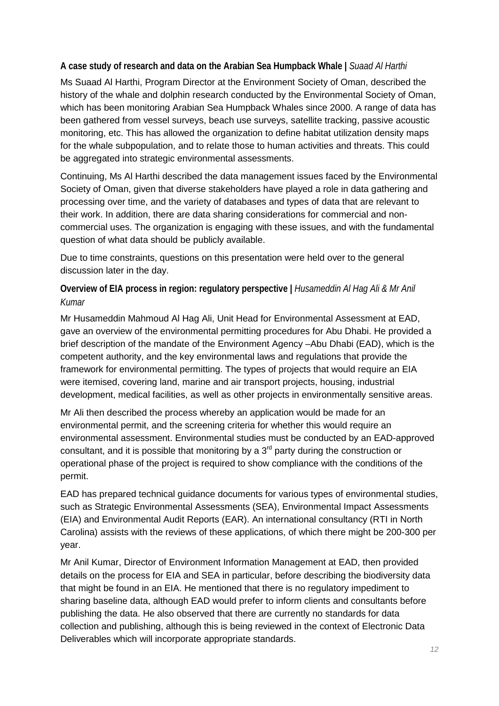**A case study of research and data on the Arabian Sea Humpback Whale |** *Suaad Al Harthi*

Ms Suaad Al Harthi, Program Director at the Environment Society of Oman, described the history of the whale and dolphin research conducted by the Environmental Society of Oman, which has been monitoring Arabian Sea Humpback Whales since 2000. A range of data has been gathered from vessel surveys, beach use surveys, satellite tracking, passive acoustic monitoring, etc. This has allowed the organization to define habitat utilization density maps for the whale subpopulation, and to relate those to human activities and threats. This could be aggregated into strategic environmental assessments.

Continuing, Ms Al Harthi described the data management issues faced by the Environmental Society of Oman, given that diverse stakeholders have played a role in data gathering and processing over time, and the variety of databases and types of data that are relevant to their work. In addition, there are data sharing considerations for commercial and noncommercial uses. The organization is engaging with these issues, and with the fundamental question of what data should be publicly available.

Due to time constraints, questions on this presentation were held over to the general discussion later in the day.

**Overview of EIA process in region: regulatory perspective |** *Husameddin Al Hag Ali & Mr Anil Kumar*

Mr Husameddin Mahmoud Al Hag Ali, Unit Head for Environmental Assessment at EAD, gave an overview of the environmental permitting procedures for Abu Dhabi. He provided a brief description of the mandate of the Environment Agency –Abu Dhabi (EAD), which is the competent authority, and the key environmental laws and regulations that provide the framework for environmental permitting. The types of projects that would require an EIA were itemised, covering land, marine and air transport projects, housing, industrial development, medical facilities, as well as other projects in environmentally sensitive areas.

Mr Ali then described the process whereby an application would be made for an environmental permit, and the screening criteria for whether this would require an environmental assessment. Environmental studies must be conducted by an EAD-approved consultant, and it is possible that monitoring by a  $3<sup>rd</sup>$  party during the construction or operational phase of the project is required to show compliance with the conditions of the permit.

EAD has prepared technical guidance documents for various types of environmental studies, such as Strategic Environmental Assessments (SEA), Environmental Impact Assessments (EIA) and Environmental Audit Reports (EAR). An international consultancy (RTI in North Carolina) assists with the reviews of these applications, of which there might be 200-300 per year.

Mr Anil Kumar, Director of Environment Information Management at EAD, then provided details on the process for EIA and SEA in particular, before describing the biodiversity data that might be found in an EIA. He mentioned that there is no regulatory impediment to sharing baseline data, although EAD would prefer to inform clients and consultants before publishing the data. He also observed that there are currently no standards for data collection and publishing, although this is being reviewed in the context of Electronic Data Deliverables which will incorporate appropriate standards.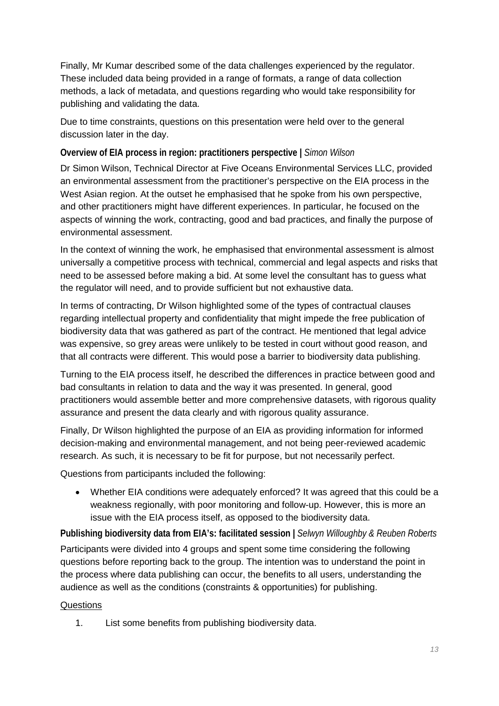Finally, Mr Kumar described some of the data challenges experienced by the regulator. These included data being provided in a range of formats, a range of data collection methods, a lack of metadata, and questions regarding who would take responsibility for publishing and validating the data.

Due to time constraints, questions on this presentation were held over to the general discussion later in the day.

# **Overview of EIA process in region: practitioners perspective |** *Simon Wilson*

Dr Simon Wilson, Technical Director at Five Oceans Environmental Services LLC, provided an environmental assessment from the practitioner's perspective on the EIA process in the West Asian region. At the outset he emphasised that he spoke from his own perspective, and other practitioners might have different experiences. In particular, he focused on the aspects of winning the work, contracting, good and bad practices, and finally the purpose of environmental assessment.

In the context of winning the work, he emphasised that environmental assessment is almost universally a competitive process with technical, commercial and legal aspects and risks that need to be assessed before making a bid. At some level the consultant has to guess what the regulator will need, and to provide sufficient but not exhaustive data.

In terms of contracting, Dr Wilson highlighted some of the types of contractual clauses regarding intellectual property and confidentiality that might impede the free publication of biodiversity data that was gathered as part of the contract. He mentioned that legal advice was expensive, so grey areas were unlikely to be tested in court without good reason, and that all contracts were different. This would pose a barrier to biodiversity data publishing.

Turning to the EIA process itself, he described the differences in practice between good and bad consultants in relation to data and the way it was presented. In general, good practitioners would assemble better and more comprehensive datasets, with rigorous quality assurance and present the data clearly and with rigorous quality assurance.

Finally, Dr Wilson highlighted the purpose of an EIA as providing information for informed decision-making and environmental management, and not being peer-reviewed academic research. As such, it is necessary to be fit for purpose, but not necessarily perfect.

Questions from participants included the following:

• Whether EIA conditions were adequately enforced? It was agreed that this could be a weakness regionally, with poor monitoring and follow-up. However, this is more an issue with the EIA process itself, as opposed to the biodiversity data.

## **Publishing biodiversity data from EIA's: facilitated session |** *Selwyn Willoughby & Reuben Roberts*

Participants were divided into 4 groups and spent some time considering the following questions before reporting back to the group. The intention was to understand the point in the process where data publishing can occur, the benefits to all users, understanding the audience as well as the conditions (constraints & opportunities) for publishing.

## **Questions**

1. List some benefits from publishing biodiversity data.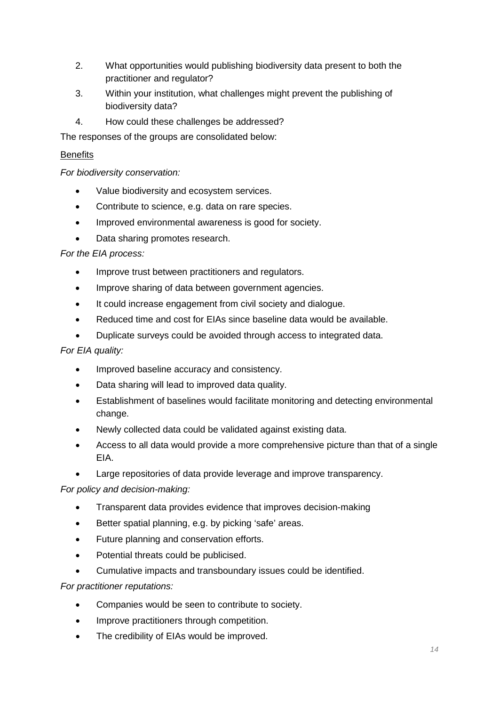- 2. What opportunities would publishing biodiversity data present to both the practitioner and regulator?
- 3. Within your institution, what challenges might prevent the publishing of biodiversity data?
- 4. How could these challenges be addressed?

The responses of the groups are consolidated below:

#### **Benefits**

*For biodiversity conservation:*

- Value biodiversity and ecosystem services.
- Contribute to science, e.g. data on rare species.
- Improved environmental awareness is good for society.
- Data sharing promotes research.

#### *For the EIA process:*

- Improve trust between practitioners and regulators.
- Improve sharing of data between government agencies.
- It could increase engagement from civil society and dialogue.
- Reduced time and cost for EIAs since baseline data would be available.
- Duplicate surveys could be avoided through access to integrated data.

#### *For EIA quality:*

- Improved baseline accuracy and consistency.
- Data sharing will lead to improved data quality.
- Establishment of baselines would facilitate monitoring and detecting environmental change.
- Newly collected data could be validated against existing data.
- Access to all data would provide a more comprehensive picture than that of a single EIA.
- Large repositories of data provide leverage and improve transparency.

#### *For policy and decision-making:*

- Transparent data provides evidence that improves decision-making
- Better spatial planning, e.g. by picking 'safe' areas.
- Future planning and conservation efforts.
- Potential threats could be publicised.
- Cumulative impacts and transboundary issues could be identified.

*For practitioner reputations:*

- Companies would be seen to contribute to society.
- Improve practitioners through competition.
- The credibility of EIAs would be improved.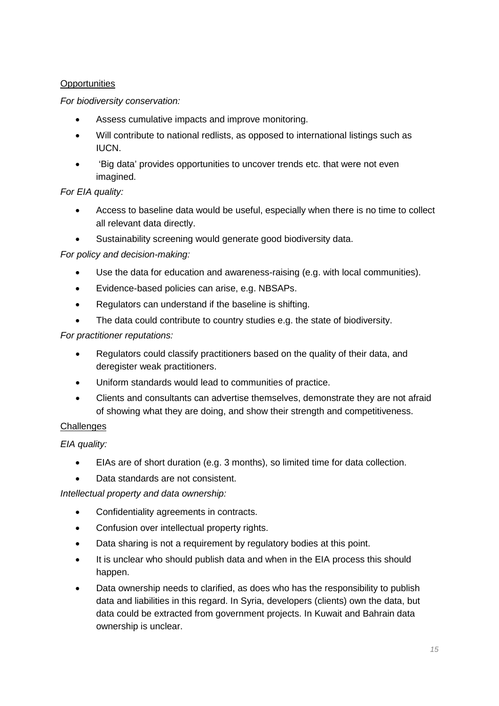## **Opportunities**

## *For biodiversity conservation:*

- Assess cumulative impacts and improve monitoring.
- Will contribute to national redlists, as opposed to international listings such as IUCN.
- 'Big data' provides opportunities to uncover trends etc. that were not even imagined.

#### *For EIA quality:*

- Access to baseline data would be useful, especially when there is no time to collect all relevant data directly.
- Sustainability screening would generate good biodiversity data.

#### *For policy and decision-making:*

- Use the data for education and awareness-raising (e.g. with local communities).
- Evidence-based policies can arise, e.g. NBSAPs.
- Regulators can understand if the baseline is shifting.
- The data could contribute to country studies e.g. the state of biodiversity.

#### *For practitioner reputations:*

- Regulators could classify practitioners based on the quality of their data, and deregister weak practitioners.
- Uniform standards would lead to communities of practice.
- Clients and consultants can advertise themselves, demonstrate they are not afraid of showing what they are doing, and show their strength and competitiveness.

#### **Challenges**

*EIA quality:*

- EIAs are of short duration (e.g. 3 months), so limited time for data collection.
- Data standards are not consistent.

#### *Intellectual property and data ownership:*

- Confidentiality agreements in contracts.
- Confusion over intellectual property rights.
- Data sharing is not a requirement by regulatory bodies at this point.
- It is unclear who should publish data and when in the EIA process this should happen.
- Data ownership needs to clarified, as does who has the responsibility to publish data and liabilities in this regard. In Syria, developers (clients) own the data, but data could be extracted from government projects. In Kuwait and Bahrain data ownership is unclear.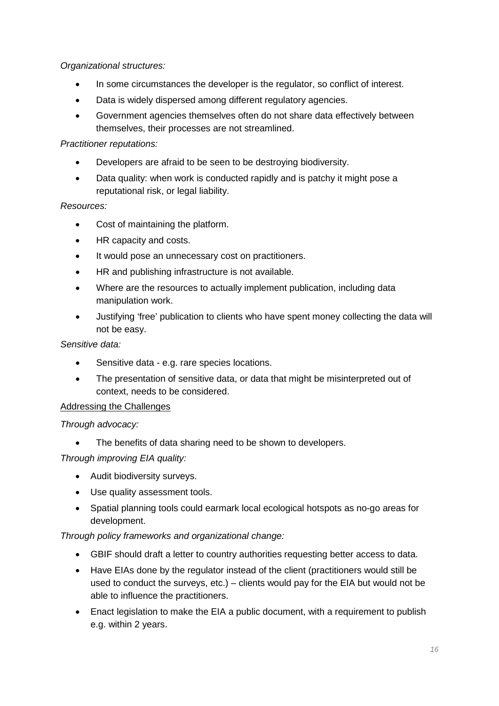*Organizational structures:*

- In some circumstances the developer is the regulator, so conflict of interest.
- Data is widely dispersed among different regulatory agencies.
- Government agencies themselves often do not share data effectively between themselves, their processes are not streamlined.

## *Practitioner reputations:*

- Developers are afraid to be seen to be destroying biodiversity.
- Data quality: when work is conducted rapidly and is patchy it might pose a reputational risk, or legal liability.

## *Resources:*

- Cost of maintaining the platform.
- HR capacity and costs.
- It would pose an unnecessary cost on practitioners.
- HR and publishing infrastructure is not available.
- Where are the resources to actually implement publication, including data manipulation work.
- Justifying 'free' publication to clients who have spent money collecting the data will not be easy.

## *Sensitive data:*

- Sensitive data e.g. rare species locations.
- The presentation of sensitive data, or data that might be misinterpreted out of context, needs to be considered.

## Addressing the Challenges

## *Through advocacy:*

• The benefits of data sharing need to be shown to developers.

## *Through improving EIA quality:*

- Audit biodiversity surveys.
- Use quality assessment tools.
- Spatial planning tools could earmark local ecological hotspots as no-go areas for development.

## *Through policy frameworks and organizational change:*

- GBIF should draft a letter to country authorities requesting better access to data.
- Have EIAs done by the regulator instead of the client (practitioners would still be used to conduct the surveys, etc.) – clients would pay for the EIA but would not be able to influence the practitioners.
- Enact legislation to make the EIA a public document, with a requirement to publish e.g. within 2 years.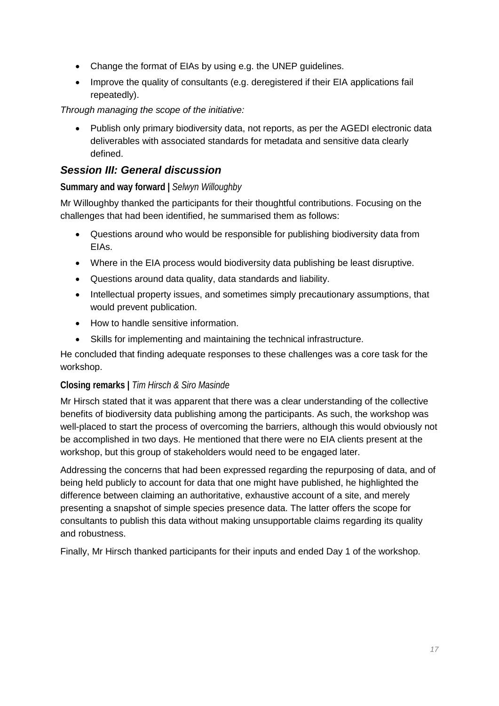- Change the format of EIAs by using e.g. the UNEP guidelines.
- Improve the quality of consultants (e.g. deregistered if their EIA applications fail repeatedly).

*Through managing the scope of the initiative:*

• Publish only primary biodiversity data, not reports, as per the AGEDI electronic data deliverables with associated standards for metadata and sensitive data clearly defined.

# *Session III: General discussion*

# **Summary and way forward |** *Selwyn Willoughby*

Mr Willoughby thanked the participants for their thoughtful contributions. Focusing on the challenges that had been identified, he summarised them as follows:

- Questions around who would be responsible for publishing biodiversity data from EIAs.
- Where in the EIA process would biodiversity data publishing be least disruptive.
- Questions around data quality, data standards and liability.
- Intellectual property issues, and sometimes simply precautionary assumptions, that would prevent publication.
- How to handle sensitive information.
- Skills for implementing and maintaining the technical infrastructure.

He concluded that finding adequate responses to these challenges was a core task for the workshop.

# **Closing remarks |** *Tim Hirsch & Siro Masinde*

Mr Hirsch stated that it was apparent that there was a clear understanding of the collective benefits of biodiversity data publishing among the participants. As such, the workshop was well-placed to start the process of overcoming the barriers, although this would obviously not be accomplished in two days. He mentioned that there were no EIA clients present at the workshop, but this group of stakeholders would need to be engaged later.

Addressing the concerns that had been expressed regarding the repurposing of data, and of being held publicly to account for data that one might have published, he highlighted the difference between claiming an authoritative, exhaustive account of a site, and merely presenting a snapshot of simple species presence data. The latter offers the scope for consultants to publish this data without making unsupportable claims regarding its quality and robustness.

Finally, Mr Hirsch thanked participants for their inputs and ended Day 1 of the workshop.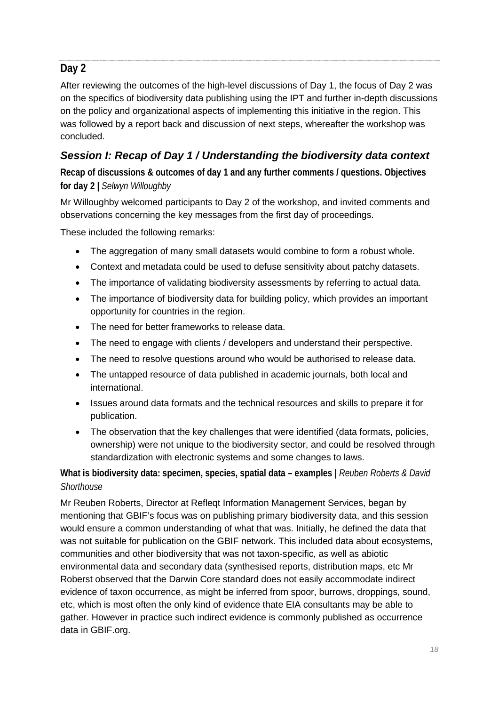# **Day 2**

After reviewing the outcomes of the high-level discussions of Day 1, the focus of Day 2 was on the specifics of biodiversity data publishing using the IPT and further in-depth discussions on the policy and organizational aspects of implementing this initiative in the region. This was followed by a report back and discussion of next steps, whereafter the workshop was concluded.

# *Session I: Recap of Day 1 / Understanding the biodiversity data context*

**Recap of discussions & outcomes of day 1 and any further comments / questions. Objectives for day 2 |** *Selwyn Willoughby*

Mr Willoughby welcomed participants to Day 2 of the workshop, and invited comments and observations concerning the key messages from the first day of proceedings.

These included the following remarks:

- The aggregation of many small datasets would combine to form a robust whole.
- Context and metadata could be used to defuse sensitivity about patchy datasets.
- The importance of validating biodiversity assessments by referring to actual data.
- The importance of biodiversity data for building policy, which provides an important opportunity for countries in the region.
- The need for better frameworks to release data.
- The need to engage with clients / developers and understand their perspective.
- The need to resolve questions around who would be authorised to release data.
- The untapped resource of data published in academic journals, both local and international.
- Issues around data formats and the technical resources and skills to prepare it for publication.
- The observation that the key challenges that were identified (data formats, policies, ownership) were not unique to the biodiversity sector, and could be resolved through standardization with electronic systems and some changes to laws.

**What is biodiversity data: specimen, species, spatial data – examples |** *Reuben Roberts & David Shorthouse*

Mr Reuben Roberts, Director at Refleqt Information Management Services, began by mentioning that GBIF's focus was on publishing primary biodiversity data, and this session would ensure a common understanding of what that was. Initially, he defined the data that was not suitable for publication on the GBIF network. This included data about ecosystems, communities and other biodiversity that was not taxon-specific, as well as abiotic environmental data and secondary data (synthesised reports, distribution maps, etc Mr Roberst observed that the Darwin Core standard does not easily accommodate indirect evidence of taxon occurrence, as might be inferred from spoor, burrows, droppings, sound, etc, which is most often the only kind of evidence thate EIA consultants may be able to gather. However in practice such indirect evidence is commonly published as occurrence data in GBIF.org.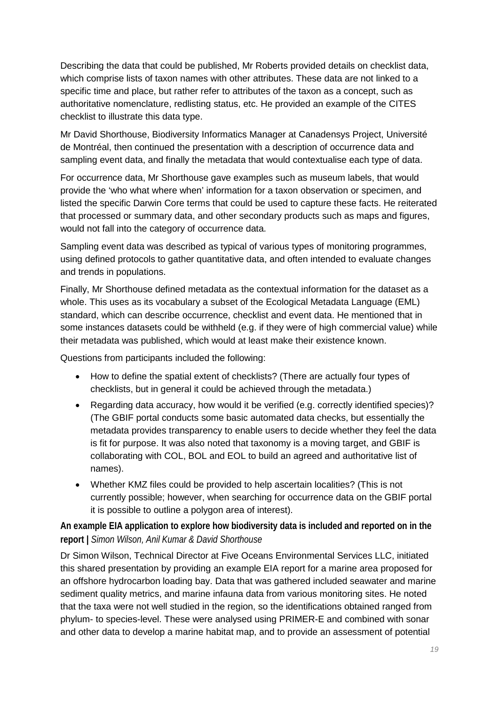Describing the data that could be published, Mr Roberts provided details on checklist data, which comprise lists of taxon names with other attributes. These data are not linked to a specific time and place, but rather refer to attributes of the taxon as a concept, such as authoritative nomenclature, redlisting status, etc. He provided an example of the CITES checklist to illustrate this data type.

Mr David Shorthouse, Biodiversity Informatics Manager at Canadensys Project, Université de Montréal, then continued the presentation with a description of occurrence data and sampling event data, and finally the metadata that would contextualise each type of data.

For occurrence data, Mr Shorthouse gave examples such as museum labels, that would provide the 'who what where when' information for a taxon observation or specimen, and listed the specific Darwin Core terms that could be used to capture these facts. He reiterated that processed or summary data, and other secondary products such as maps and figures, would not fall into the category of occurrence data.

Sampling event data was described as typical of various types of monitoring programmes, using defined protocols to gather quantitative data, and often intended to evaluate changes and trends in populations.

Finally, Mr Shorthouse defined metadata as the contextual information for the dataset as a whole. This uses as its vocabulary a subset of the Ecological Metadata Language (EML) standard, which can describe occurrence, checklist and event data. He mentioned that in some instances datasets could be withheld (e.g. if they were of high commercial value) while their metadata was published, which would at least make their existence known.

Questions from participants included the following:

- How to define the spatial extent of checklists? (There are actually four types of checklists, but in general it could be achieved through the metadata.)
- Regarding data accuracy, how would it be verified (e.g. correctly identified species)? (The GBIF portal conducts some basic automated data checks, but essentially the metadata provides transparency to enable users to decide whether they feel the data is fit for purpose. It was also noted that taxonomy is a moving target, and GBIF is collaborating with COL, BOL and EOL to build an agreed and authoritative list of names).
- Whether KMZ files could be provided to help ascertain localities? (This is not currently possible; however, when searching for occurrence data on the GBIF portal it is possible to outline a polygon area of interest).

**An example EIA application to explore how biodiversity data is included and reported on in the report |** *Simon Wilson, Anil Kumar & David Shorthouse*

Dr Simon Wilson, Technical Director at Five Oceans Environmental Services LLC, initiated this shared presentation by providing an example EIA report for a marine area proposed for an offshore hydrocarbon loading bay. Data that was gathered included seawater and marine sediment quality metrics, and marine infauna data from various monitoring sites. He noted that the taxa were not well studied in the region, so the identifications obtained ranged from phylum- to species-level. These were analysed using PRIMER-E and combined with sonar and other data to develop a marine habitat map, and to provide an assessment of potential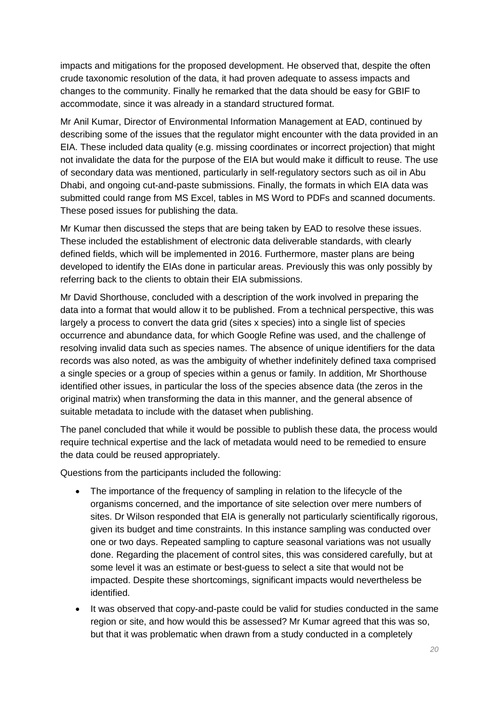impacts and mitigations for the proposed development. He observed that, despite the often crude taxonomic resolution of the data, it had proven adequate to assess impacts and changes to the community. Finally he remarked that the data should be easy for GBIF to accommodate, since it was already in a standard structured format.

Mr Anil Kumar, Director of Environmental Information Management at EAD, continued by describing some of the issues that the regulator might encounter with the data provided in an EIA. These included data quality (e.g. missing coordinates or incorrect projection) that might not invalidate the data for the purpose of the EIA but would make it difficult to reuse. The use of secondary data was mentioned, particularly in self-regulatory sectors such as oil in Abu Dhabi, and ongoing cut-and-paste submissions. Finally, the formats in which EIA data was submitted could range from MS Excel, tables in MS Word to PDFs and scanned documents. These posed issues for publishing the data.

Mr Kumar then discussed the steps that are being taken by EAD to resolve these issues. These included the establishment of electronic data deliverable standards, with clearly defined fields, which will be implemented in 2016. Furthermore, master plans are being developed to identify the EIAs done in particular areas. Previously this was only possibly by referring back to the clients to obtain their EIA submissions.

Mr David Shorthouse, concluded with a description of the work involved in preparing the data into a format that would allow it to be published. From a technical perspective, this was largely a process to convert the data grid (sites x species) into a single list of species occurrence and abundance data, for which Google Refine was used, and the challenge of resolving invalid data such as species names. The absence of unique identifiers for the data records was also noted, as was the ambiguity of whether indefinitely defined taxa comprised a single species or a group of species within a genus or family. In addition, Mr Shorthouse identified other issues, in particular the loss of the species absence data (the zeros in the original matrix) when transforming the data in this manner, and the general absence of suitable metadata to include with the dataset when publishing.

The panel concluded that while it would be possible to publish these data, the process would require technical expertise and the lack of metadata would need to be remedied to ensure the data could be reused appropriately.

Questions from the participants included the following:

- The importance of the frequency of sampling in relation to the lifecycle of the organisms concerned, and the importance of site selection over mere numbers of sites. Dr Wilson responded that EIA is generally not particularly scientifically rigorous, given its budget and time constraints. In this instance sampling was conducted over one or two days. Repeated sampling to capture seasonal variations was not usually done. Regarding the placement of control sites, this was considered carefully, but at some level it was an estimate or best-guess to select a site that would not be impacted. Despite these shortcomings, significant impacts would nevertheless be identified.
- It was observed that copy-and-paste could be valid for studies conducted in the same region or site, and how would this be assessed? Mr Kumar agreed that this was so, but that it was problematic when drawn from a study conducted in a completely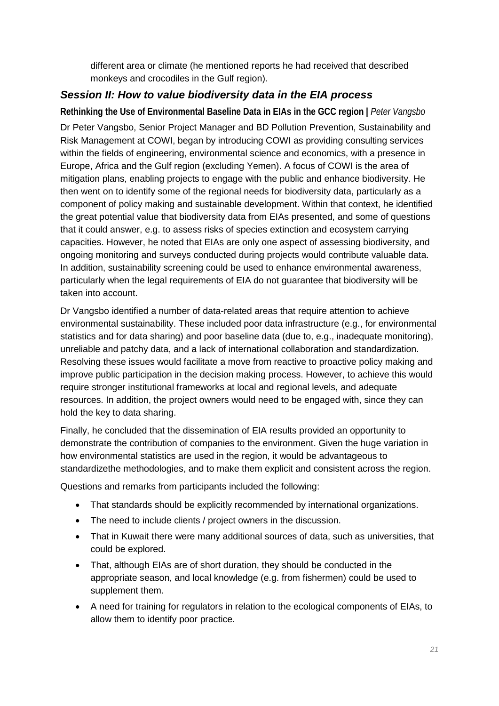different area or climate (he mentioned reports he had received that described monkeys and crocodiles in the Gulf region).

# *Session II: How to value biodiversity data in the EIA process*

**Rethinking the Use of Environmental Baseline Data in EIAs in the GCC region |** *Peter Vangsbo*

Dr Peter Vangsbo, Senior Project Manager and BD Pollution Prevention, Sustainability and Risk Management at COWI, began by introducing COWI as providing consulting services within the fields of engineering, environmental science and economics, with a presence in Europe, Africa and the Gulf region (excluding Yemen). A focus of COWI is the area of mitigation plans, enabling projects to engage with the public and enhance biodiversity. He then went on to identify some of the regional needs for biodiversity data, particularly as a component of policy making and sustainable development. Within that context, he identified the great potential value that biodiversity data from EIAs presented, and some of questions that it could answer, e.g. to assess risks of species extinction and ecosystem carrying capacities. However, he noted that EIAs are only one aspect of assessing biodiversity, and ongoing monitoring and surveys conducted during projects would contribute valuable data. In addition, sustainability screening could be used to enhance environmental awareness, particularly when the legal requirements of EIA do not guarantee that biodiversity will be taken into account.

Dr Vangsbo identified a number of data-related areas that require attention to achieve environmental sustainability. These included poor data infrastructure (e.g., for environmental statistics and for data sharing) and poor baseline data (due to, e.g., inadequate monitoring), unreliable and patchy data, and a lack of international collaboration and standardization. Resolving these issues would facilitate a move from reactive to proactive policy making and improve public participation in the decision making process. However, to achieve this would require stronger institutional frameworks at local and regional levels, and adequate resources. In addition, the project owners would need to be engaged with, since they can hold the key to data sharing.

Finally, he concluded that the dissemination of EIA results provided an opportunity to demonstrate the contribution of companies to the environment. Given the huge variation in how environmental statistics are used in the region, it would be advantageous to standardizethe methodologies, and to make them explicit and consistent across the region.

Questions and remarks from participants included the following:

- That standards should be explicitly recommended by international organizations.
- The need to include clients / project owners in the discussion.
- That in Kuwait there were many additional sources of data, such as universities, that could be explored.
- That, although EIAs are of short duration, they should be conducted in the appropriate season, and local knowledge (e.g. from fishermen) could be used to supplement them.
- A need for training for regulators in relation to the ecological components of EIAs, to allow them to identify poor practice.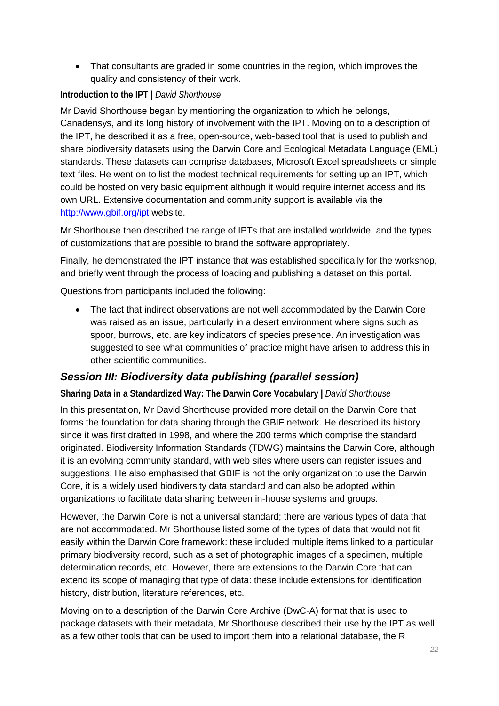• That consultants are graded in some countries in the region, which improves the quality and consistency of their work.

# **Introduction to the IPT |** *David Shorthouse*

Mr David Shorthouse began by mentioning the organization to which he belongs, Canadensys, and its long history of involvement with the IPT. Moving on to a description of the IPT, he described it as a free, open-source, web-based tool that is used to publish and share biodiversity datasets using the Darwin Core and Ecological Metadata Language (EML) standards. These datasets can comprise databases, Microsoft Excel spreadsheets or simple text files. He went on to list the modest technical requirements for setting up an IPT, which could be hosted on very basic equipment although it would require internet access and its own URL. Extensive documentation and community support is available via the <http://www.gbif.org/ipt> website.

Mr Shorthouse then described the range of IPTs that are installed worldwide, and the types of customizations that are possible to brand the software appropriately.

Finally, he demonstrated the IPT instance that was established specifically for the workshop, and briefly went through the process of loading and publishing a dataset on this portal.

Questions from participants included the following:

• The fact that indirect observations are not well accommodated by the Darwin Core was raised as an issue, particularly in a desert environment where signs such as spoor, burrows, etc. are key indicators of species presence. An investigation was suggested to see what communities of practice might have arisen to address this in other scientific communities.

# *Session III: Biodiversity data publishing (parallel session)*

**Sharing Data in a Standardized Way: The Darwin Core Vocabulary |** *David Shorthouse*

In this presentation, Mr David Shorthouse provided more detail on the Darwin Core that forms the foundation for data sharing through the GBIF network. He described its history since it was first drafted in 1998, and where the 200 terms which comprise the standard originated. Biodiversity Information Standards (TDWG) maintains the Darwin Core, although it is an evolving community standard, with web sites where users can register issues and suggestions. He also emphasised that GBIF is not the only organization to use the Darwin Core, it is a widely used biodiversity data standard and can also be adopted within organizations to facilitate data sharing between in-house systems and groups.

However, the Darwin Core is not a universal standard; there are various types of data that are not accommodated. Mr Shorthouse listed some of the types of data that would not fit easily within the Darwin Core framework: these included multiple items linked to a particular primary biodiversity record, such as a set of photographic images of a specimen, multiple determination records, etc. However, there are extensions to the Darwin Core that can extend its scope of managing that type of data: these include extensions for identification history, distribution, literature references, etc.

Moving on to a description of the Darwin Core Archive (DwC-A) format that is used to package datasets with their metadata, Mr Shorthouse described their use by the IPT as well as a few other tools that can be used to import them into a relational database, the R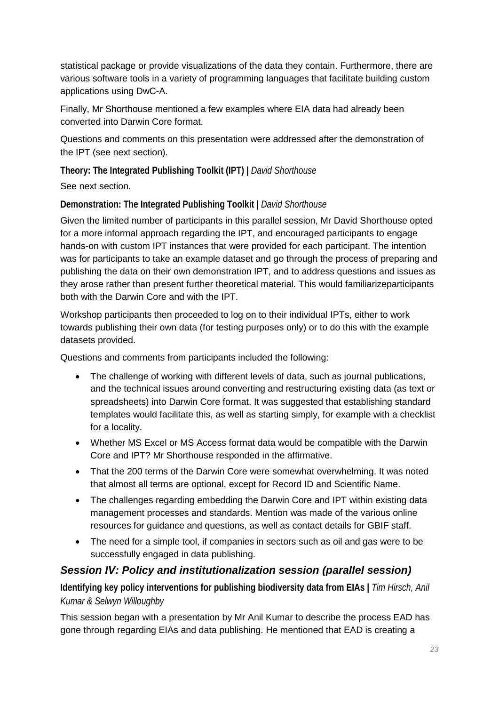statistical package or provide visualizations of the data they contain. Furthermore, there are various software tools in a variety of programming languages that facilitate building custom applications using DwC-A.

Finally, Mr Shorthouse mentioned a few examples where EIA data had already been converted into Darwin Core format.

Questions and comments on this presentation were addressed after the demonstration of the IPT (see next section).

**Theory: The Integrated Publishing Toolkit (IPT) |** *David Shorthouse*

See next section.

**Demonstration: The Integrated Publishing Toolkit |** *David Shorthouse*

Given the limited number of participants in this parallel session, Mr David Shorthouse opted for a more informal approach regarding the IPT, and encouraged participants to engage hands-on with custom IPT instances that were provided for each participant. The intention was for participants to take an example dataset and go through the process of preparing and publishing the data on their own demonstration IPT, and to address questions and issues as they arose rather than present further theoretical material. This would familiarizeparticipants both with the Darwin Core and with the IPT.

Workshop participants then proceeded to log on to their individual IPTs, either to work towards publishing their own data (for testing purposes only) or to do this with the example datasets provided.

Questions and comments from participants included the following:

- The challenge of working with different levels of data, such as journal publications, and the technical issues around converting and restructuring existing data (as text or spreadsheets) into Darwin Core format. It was suggested that establishing standard templates would facilitate this, as well as starting simply, for example with a checklist for a locality.
- Whether MS Excel or MS Access format data would be compatible with the Darwin Core and IPT? Mr Shorthouse responded in the affirmative.
- That the 200 terms of the Darwin Core were somewhat overwhelming. It was noted that almost all terms are optional, except for Record ID and Scientific Name.
- The challenges regarding embedding the Darwin Core and IPT within existing data management processes and standards. Mention was made of the various online resources for guidance and questions, as well as contact details for GBIF staff.
- The need for a simple tool, if companies in sectors such as oil and gas were to be successfully engaged in data publishing.

# *Session IV: Policy and institutionalization session (parallel session)*

**Identifying key policy interventions for publishing biodiversity data from EIAs |** *Tim Hirsch, Anil Kumar & Selwyn Willoughby*

This session began with a presentation by Mr Anil Kumar to describe the process EAD has gone through regarding EIAs and data publishing. He mentioned that EAD is creating a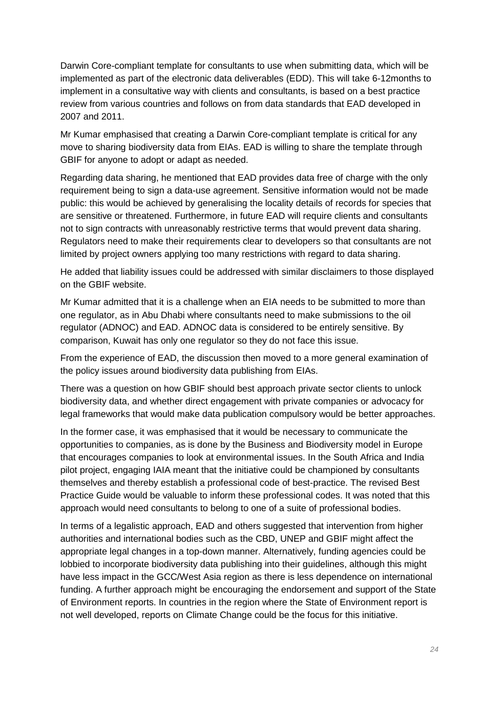Darwin Core-compliant template for consultants to use when submitting data, which will be implemented as part of the electronic data deliverables (EDD). This will take 6-12months to implement in a consultative way with clients and consultants, is based on a best practice review from various countries and follows on from data standards that EAD developed in 2007 and 2011.

Mr Kumar emphasised that creating a Darwin Core-compliant template is critical for any move to sharing biodiversity data from EIAs. EAD is willing to share the template through GBIF for anyone to adopt or adapt as needed.

Regarding data sharing, he mentioned that EAD provides data free of charge with the only requirement being to sign a data-use agreement. Sensitive information would not be made public: this would be achieved by generalising the locality details of records for species that are sensitive or threatened. Furthermore, in future EAD will require clients and consultants not to sign contracts with unreasonably restrictive terms that would prevent data sharing. Regulators need to make their requirements clear to developers so that consultants are not limited by project owners applying too many restrictions with regard to data sharing.

He added that liability issues could be addressed with similar disclaimers to those displayed on the GBIF website.

Mr Kumar admitted that it is a challenge when an EIA needs to be submitted to more than one regulator, as in Abu Dhabi where consultants need to make submissions to the oil regulator (ADNOC) and EAD. ADNOC data is considered to be entirely sensitive. By comparison, Kuwait has only one regulator so they do not face this issue.

From the experience of EAD, the discussion then moved to a more general examination of the policy issues around biodiversity data publishing from EIAs.

There was a question on how GBIF should best approach private sector clients to unlock biodiversity data, and whether direct engagement with private companies or advocacy for legal frameworks that would make data publication compulsory would be better approaches.

In the former case, it was emphasised that it would be necessary to communicate the opportunities to companies, as is done by the Business and Biodiversity model in Europe that encourages companies to look at environmental issues. In the South Africa and India pilot project, engaging IAIA meant that the initiative could be championed by consultants themselves and thereby establish a professional code of best-practice. The revised Best Practice Guide would be valuable to inform these professional codes. It was noted that this approach would need consultants to belong to one of a suite of professional bodies.

In terms of a legalistic approach, EAD and others suggested that intervention from higher authorities and international bodies such as the CBD, UNEP and GBIF might affect the appropriate legal changes in a top-down manner. Alternatively, funding agencies could be lobbied to incorporate biodiversity data publishing into their guidelines, although this might have less impact in the GCC/West Asia region as there is less dependence on international funding. A further approach might be encouraging the endorsement and support of the State of Environment reports. In countries in the region where the State of Environment report is not well developed, reports on Climate Change could be the focus for this initiative.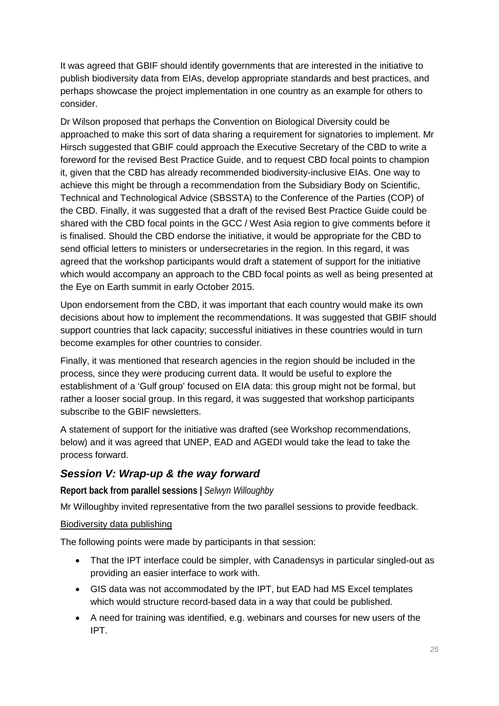It was agreed that GBIF should identify governments that are interested in the initiative to publish biodiversity data from EIAs, develop appropriate standards and best practices, and perhaps showcase the project implementation in one country as an example for others to consider.

Dr Wilson proposed that perhaps the Convention on Biological Diversity could be approached to make this sort of data sharing a requirement for signatories to implement. Mr Hirsch suggested that GBIF could approach the Executive Secretary of the CBD to write a foreword for the revised Best Practice Guide, and to request CBD focal points to champion it, given that the CBD has already recommended biodiversity-inclusive EIAs. One way to achieve this might be through a recommendation from the Subsidiary Body on Scientific, Technical and Technological Advice (SBSSTA) to the Conference of the Parties (COP) of the CBD. Finally, it was suggested that a draft of the revised Best Practice Guide could be shared with the CBD focal points in the GCC / West Asia region to give comments before it is finalised. Should the CBD endorse the initiative, it would be appropriate for the CBD to send official letters to ministers or undersecretaries in the region. In this regard, it was agreed that the workshop participants would draft a statement of support for the initiative which would accompany an approach to the CBD focal points as well as being presented at the Eye on Earth summit in early October 2015.

Upon endorsement from the CBD, it was important that each country would make its own decisions about how to implement the recommendations. It was suggested that GBIF should support countries that lack capacity; successful initiatives in these countries would in turn become examples for other countries to consider.

Finally, it was mentioned that research agencies in the region should be included in the process, since they were producing current data. It would be useful to explore the establishment of a 'Gulf group' focused on EIA data: this group might not be formal, but rather a looser social group. In this regard, it was suggested that workshop participants subscribe to the GBIF newsletters.

A statement of support for the initiative was drafted (see Workshop recommendations, below) and it was agreed that UNEP, EAD and AGEDI would take the lead to take the process forward.

# *Session V: Wrap-up & the way forward*

**Report back from parallel sessions |** *Selwyn Willoughby*

Mr Willoughby invited representative from the two parallel sessions to provide feedback.

## Biodiversity data publishing

The following points were made by participants in that session:

- That the IPT interface could be simpler, with Canadensys in particular singled-out as providing an easier interface to work with.
- GIS data was not accommodated by the IPT, but EAD had MS Excel templates which would structure record-based data in a way that could be published.
- A need for training was identified, e.g. webinars and courses for new users of the IPT.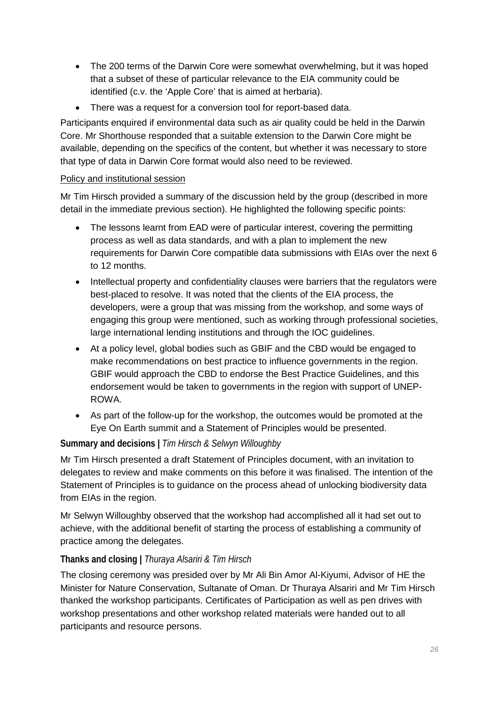- The 200 terms of the Darwin Core were somewhat overwhelming, but it was hoped that a subset of these of particular relevance to the EIA community could be identified (c.v. the 'Apple Core' that is aimed at herbaria).
- There was a request for a conversion tool for report-based data.

Participants enquired if environmental data such as air quality could be held in the Darwin Core. Mr Shorthouse responded that a suitable extension to the Darwin Core might be available, depending on the specifics of the content, but whether it was necessary to store that type of data in Darwin Core format would also need to be reviewed.

#### Policy and institutional session

Mr Tim Hirsch provided a summary of the discussion held by the group (described in more detail in the immediate previous section). He highlighted the following specific points:

- The lessons learnt from EAD were of particular interest, covering the permitting process as well as data standards, and with a plan to implement the new requirements for Darwin Core compatible data submissions with EIAs over the next 6 to 12 months.
- Intellectual property and confidentiality clauses were barriers that the regulators were best-placed to resolve. It was noted that the clients of the EIA process, the developers, were a group that was missing from the workshop, and some ways of engaging this group were mentioned, such as working through professional societies, large international lending institutions and through the IOC guidelines.
- At a policy level, global bodies such as GBIF and the CBD would be engaged to make recommendations on best practice to influence governments in the region. GBIF would approach the CBD to endorse the Best Practice Guidelines, and this endorsement would be taken to governments in the region with support of UNEP-ROWA.
- As part of the follow-up for the workshop, the outcomes would be promoted at the Eye On Earth summit and a Statement of Principles would be presented.

## **Summary and decisions |** *Tim Hirsch & Selwyn Willoughby*

Mr Tim Hirsch presented a draft Statement of Principles document, with an invitation to delegates to review and make comments on this before it was finalised. The intention of the Statement of Principles is to guidance on the process ahead of unlocking biodiversity data from EIAs in the region.

Mr Selwyn Willoughby observed that the workshop had accomplished all it had set out to achieve, with the additional benefit of starting the process of establishing a community of practice among the delegates.

## **Thanks and closing |** *Thuraya Alsariri & Tim Hirsch*

The closing ceremony was presided over by Mr Ali Bin Amor Al-Kiyumi, Advisor of HE the Minister for Nature Conservation, Sultanate of Oman. Dr Thuraya Alsariri and Mr Tim Hirsch thanked the workshop participants. Certificates of Participation as well as pen drives with workshop presentations and other workshop related materials were handed out to all participants and resource persons.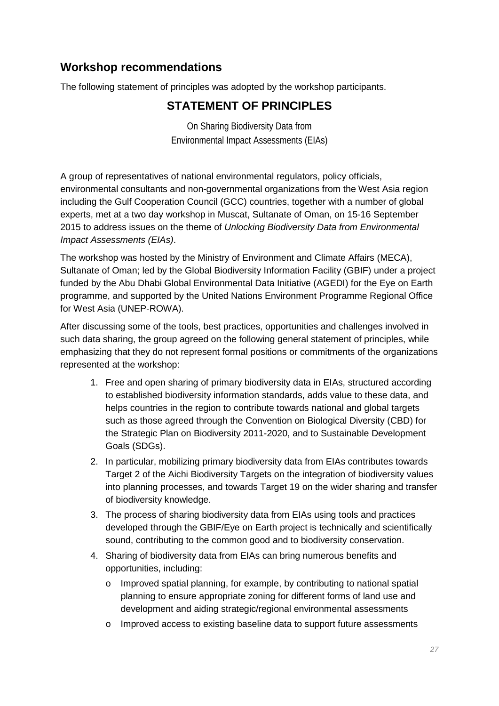# **Workshop recommendations**

The following statement of principles was adopted by the workshop participants.

# **STATEMENT OF PRINCIPLES**

On Sharing Biodiversity Data from Environmental Impact Assessments (EIAs)

A group of representatives of national environmental regulators, policy officials, environmental consultants and non-governmental organizations from the West Asia region including the Gulf Cooperation Council (GCC) countries, together with a number of global experts, met at a two day workshop in Muscat, Sultanate of Oman, on 15-16 September 2015 to address issues on the theme of *Unlocking Biodiversity Data from Environmental Impact Assessments (EIAs)*.

The workshop was hosted by the Ministry of Environment and Climate Affairs (MECA), Sultanate of Oman; led by the Global Biodiversity Information Facility (GBIF) under a project funded by the Abu Dhabi Global Environmental Data Initiative (AGEDI) for the Eye on Earth programme, and supported by the United Nations Environment Programme Regional Office for West Asia (UNEP-ROWA).

After discussing some of the tools, best practices, opportunities and challenges involved in such data sharing, the group agreed on the following general statement of principles, while emphasizing that they do not represent formal positions or commitments of the organizations represented at the workshop:

- 1. Free and open sharing of primary biodiversity data in EIAs, structured according to established biodiversity information standards, adds value to these data, and helps countries in the region to contribute towards national and global targets such as those agreed through the Convention on Biological Diversity (CBD) for the Strategic Plan on Biodiversity 2011-2020, and to Sustainable Development Goals (SDGs).
- 2. In particular, mobilizing primary biodiversity data from EIAs contributes towards Target 2 of the Aichi Biodiversity Targets on the integration of biodiversity values into planning processes, and towards Target 19 on the wider sharing and transfer of biodiversity knowledge.
- 3. The process of sharing biodiversity data from EIAs using tools and practices developed through the GBIF/Eye on Earth project is technically and scientifically sound, contributing to the common good and to biodiversity conservation.
- 4. Sharing of biodiversity data from EIAs can bring numerous benefits and opportunities, including:
	- o Improved spatial planning, for example, by contributing to national spatial planning to ensure appropriate zoning for different forms of land use and development and aiding strategic/regional environmental assessments
	- o Improved access to existing baseline data to support future assessments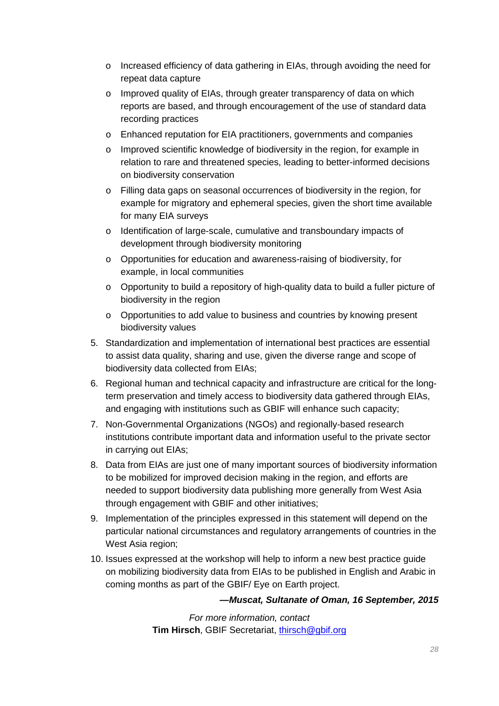- o Increased efficiency of data gathering in EIAs, through avoiding the need for repeat data capture
- o Improved quality of EIAs, through greater transparency of data on which reports are based, and through encouragement of the use of standard data recording practices
- o Enhanced reputation for EIA practitioners, governments and companies
- o Improved scientific knowledge of biodiversity in the region, for example in relation to rare and threatened species, leading to better-informed decisions on biodiversity conservation
- o Filling data gaps on seasonal occurrences of biodiversity in the region, for example for migratory and ephemeral species, given the short time available for many EIA surveys
- o Identification of large-scale, cumulative and transboundary impacts of development through biodiversity monitoring
- o Opportunities for education and awareness-raising of biodiversity, for example, in local communities
- o Opportunity to build a repository of high-quality data to build a fuller picture of biodiversity in the region
- o Opportunities to add value to business and countries by knowing present biodiversity values
- 5. Standardization and implementation of international best practices are essential to assist data quality, sharing and use, given the diverse range and scope of biodiversity data collected from EIAs;
- 6. Regional human and technical capacity and infrastructure are critical for the longterm preservation and timely access to biodiversity data gathered through EIAs, and engaging with institutions such as GBIF will enhance such capacity;
- 7. Non-Governmental Organizations (NGOs) and regionally-based research institutions contribute important data and information useful to the private sector in carrying out EIAs;
- 8. Data from EIAs are just one of many important sources of biodiversity information to be mobilized for improved decision making in the region, and efforts are needed to support biodiversity data publishing more generally from West Asia through engagement with GBIF and other initiatives;
- 9. Implementation of the principles expressed in this statement will depend on the particular national circumstances and regulatory arrangements of countries in the West Asia region;
- 10. Issues expressed at the workshop will help to inform a new best practice guide on mobilizing biodiversity data from EIAs to be published in English and Arabic in coming months as part of the GBIF/ Eye on Earth project.

## *—Muscat, Sultanate of Oman, 16 September, 2015*

*For more information, contact* **Tim Hirsch**, GBIF Secretariat, [thirsch@gbif.org](mailto:thirsch@gbif.org)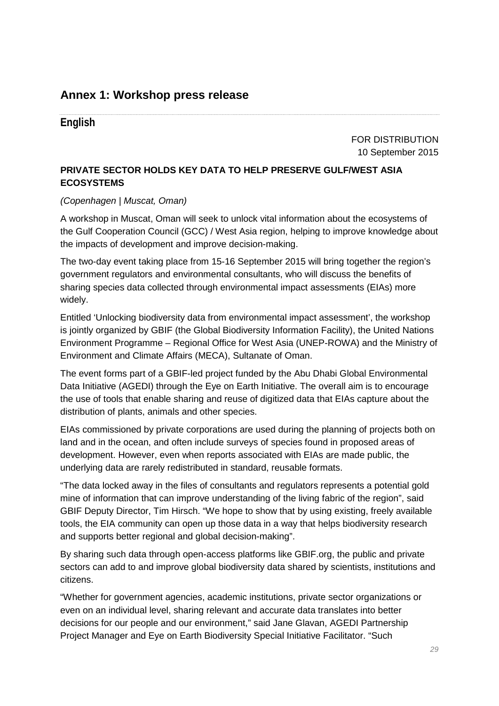# **Annex 1: Workshop press release**

# **English**

FOR DISTRIBUTION 10 September 2015

# **PRIVATE SECTOR HOLDS KEY DATA TO HELP PRESERVE GULF/WEST ASIA ECOSYSTEMS**

#### *(Copenhagen | Muscat, Oman)*

A workshop in Muscat, Oman will seek to unlock vital information about the ecosystems of the Gulf Cooperation Council (GCC) / West Asia region, helping to improve knowledge about the impacts of development and improve decision-making.

The two-day event taking place from 15-16 September 2015 will bring together the region's government regulators and environmental consultants, who will discuss the benefits of sharing species data collected through environmental impact assessments (EIAs) more widely.

Entitled 'Unlocking biodiversity data from environmental impact assessment', the workshop is jointly organized by GBIF (the Global Biodiversity Information Facility), the United Nations Environment Programme – Regional Office for West Asia (UNEP-ROWA) and the Ministry of Environment and Climate Affairs (MECA), Sultanate of Oman.

The event forms part of a GBIF-led project funded by the Abu Dhabi Global Environmental Data Initiative (AGEDI) through the Eye on Earth Initiative. The overall aim is to encourage the use of tools that enable sharing and reuse of digitized data that EIAs capture about the distribution of plants, animals and other species.

EIAs commissioned by private corporations are used during the planning of projects both on land and in the ocean, and often include surveys of species found in proposed areas of development. However, even when reports associated with EIAs are made public, the underlying data are rarely redistributed in standard, reusable formats.

"The data locked away in the files of consultants and regulators represents a potential gold mine of information that can improve understanding of the living fabric of the region", said GBIF Deputy Director, Tim Hirsch. "We hope to show that by using existing, freely available tools, the EIA community can open up those data in a way that helps biodiversity research and supports better regional and global decision-making".

By sharing such data through open-access platforms like GBIF.org, the public and private sectors can add to and improve global biodiversity data shared by scientists, institutions and citizens.

"Whether for government agencies, academic institutions, private sector organizations or even on an individual level, sharing relevant and accurate data translates into better decisions for our people and our environment," said Jane Glavan, AGEDI Partnership Project Manager and Eye on Earth Biodiversity Special Initiative Facilitator. "Such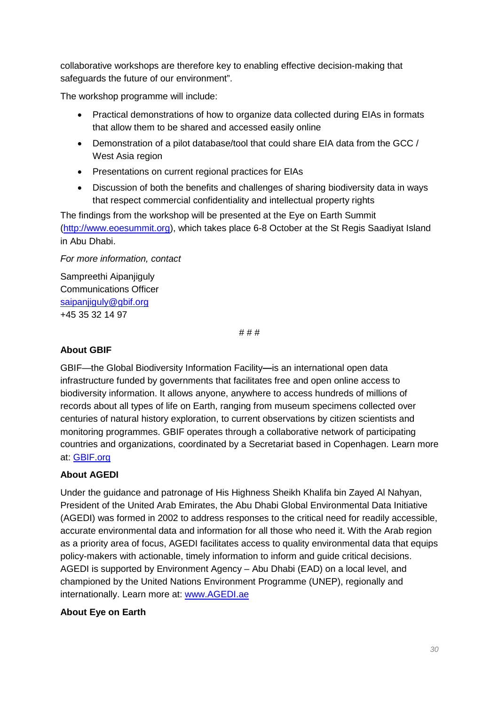collaborative workshops are therefore key to enabling effective decision-making that safeguards the future of our environment".

The workshop programme will include:

- Practical demonstrations of how to organize data collected during EIAs in formats that allow them to be shared and accessed easily online
- Demonstration of a pilot database/tool that could share EIA data from the GCC / West Asia region
- Presentations on current regional practices for EIAs
- Discussion of both the benefits and challenges of sharing biodiversity data in ways that respect commercial confidentiality and intellectual property rights

The findings from the workshop will be presented at the Eye on Earth Summit [\(http://www.eoesummit.org\)](http://www.eoesummit.org/), which takes place 6-8 October at the St Regis Saadiyat Island in Abu Dhabi.

#### *For more information, contact*

Sampreethi Aipanjiguly Communications Officer [saipanjiguly@gbif.org](mailto:saipanjiguly@gbif.org) +45 35 32 14 97

# # #

#### **About GBIF**

GBIF—the Global Biodiversity Information Facility**—**is an international open data infrastructure funded by governments that facilitates free and open online access to biodiversity information. It allows anyone, anywhere to access hundreds of millions of records about all types of life on Earth, ranging from museum specimens collected over centuries of natural history exploration, to current observations by citizen scientists and monitoring programmes. GBIF operates through a collaborative network of participating countries and organizations, coordinated by a Secretariat based in Copenhagen. Learn more at: [GBIF.org](http://www.gbif.org/)

## **About AGEDI**

Under the guidance and patronage of His Highness Sheikh Khalifa bin Zayed Al Nahyan, President of the United Arab Emirates, the Abu Dhabi Global Environmental Data Initiative (AGEDI) was formed in 2002 to address responses to the critical need for readily accessible, accurate environmental data and information for all those who need it. With the Arab region as a priority area of focus, AGEDI facilitates access to quality environmental data that equips policy-makers with actionable, timely information to inform and guide critical decisions. AGEDI is supported by Environment Agency – Abu Dhabi (EAD) on a local level, and championed by the United Nations Environment Programme (UNEP), regionally and internationally. Learn more at: [www.AGEDI.ae](http://www.agedi.ae/)

## **About Eye on Earth**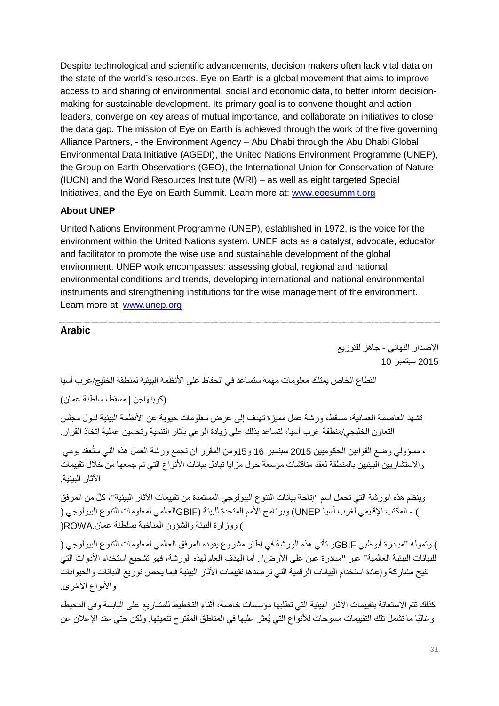Despite technological and scientific advancements, decision makers often lack vital data on the state of the world's resources. Eye on Earth is a global movement that aims to improve access to and sharing of environmental, social and economic data, to better inform decisionmaking for sustainable development. Its primary goal is to convene thought and action leaders, converge on key areas of mutual importance, and collaborate on initiatives to close the data gap. The mission of Eye on Earth is achieved through the work of the five governing Alliance Partners, - the Environment Agency – Abu Dhabi through the Abu Dhabi Global Environmental Data Initiative (AGEDI), the United Nations Environment Programme (UNEP), the Group on Earth Observations (GEO), the International Union for Conservation of Nature (IUCN) and the World Resources Institute (WRI) – as well as eight targeted Special Initiatives, and the Eye on Earth Summit. Learn more at: [www.eoesummit.org](http://www.eoesummit.org/)

## **About UNEP**

United Nations Environment Programme (UNEP), established in 1972, is the voice for the environment within the United Nations system. UNEP acts as a catalyst, advocate, educator and facilitator to promote the wise use and sustainable development of the global environment. UNEP work encompasses: assessing global, regional and national environmental conditions and trends, developing international and national environmental instruments and strengthening institutions for the wise management of the environment. Learn more at: [www.unep.org](http://www.unep.org/)

# **Arabic**

الإصدار النھائي - جاھز للتوزیع 2015 سبتمبر 10

القطاع الخاص یمتلك معلومات مھمة ستساعد في الحفاظ على الأنظمة البیئیة لمنطقة الخلیج/غرب آسیا

(كوبنھاجن | مسقط، سلطنة عمان)

تشھد العاصمة العمانیة، مسقط، ورشة عمل ممیزة تھدف إلى عرض معلومات حیویة عن الأنظمة البیئیة لدول مجلس التعاون الخلیجي/منطقة غرب آسیا، لتساعد بذلك على زیادة الوعي بآثار التنمیة وتحسین عملیة اتخاذ القرار.

، مسؤولي وضع القوانين الحكوميين 2015 سبتمبر 16 و15ومن المقرر أن تجمع ورشة العمل هذه التي ستُعقد يومي والاستشاریین البیئیین بالمنطقة لعقد مناقشات موسعة حول مزایا تبادل بیانات الأنواع التي تم جمعھا من خلال تقییمات الآثار البیئیة.

وینظم ھذه الورشة التي تحمل اسم "إتاحة بیانات التنوع الببولوجي المستمدة من تقییمات الآثار البیئیة" ٌ ، كل من المرفق ) - المكتب الإقلیمي لغرب آسیا UNEP (وبرنامج الأمم المتحدة للبیئة (GBIFالعالمي لمعلومات التنوع البیولوجي ( ) ووزارة البیئة والشؤون المناخیة بسلطنة عمان.ROWA)

) وتمولھ "مبادرة أبوظبي GBIFو تأتي ھذه الورشة في إطار مشروع یقوده المرفق العالمي لمعلومات التنوع البیولوجي ( للبیانات البیئیة العالمیة" عبر "مبادرة عین على الأرض". أما الھدف العام لھذه الورشة، فھو تشجیع استخدام الأدوات التي تتیح مشاركة وإعادة استخدام البیانات الرقمیة التي ترصدھا تقییمات الآثار البیئیة فیما یخص توزیع النباتات والحیوانات والأنواع الأخرى.

كذلك تتم الاستعانة بتقییمات الآثار البیئیة التي تطلبھا مؤسسات خاصة، أثناء التخطیط للمشاریع على الیابسة وفي المحیط، وغالبًا ما تشمل تلك التقییمات مسوحات للأنواع التي یُعثر علیھا في المناطق المقترح تنمیتھا. ولكن حتى عند الإعلان عن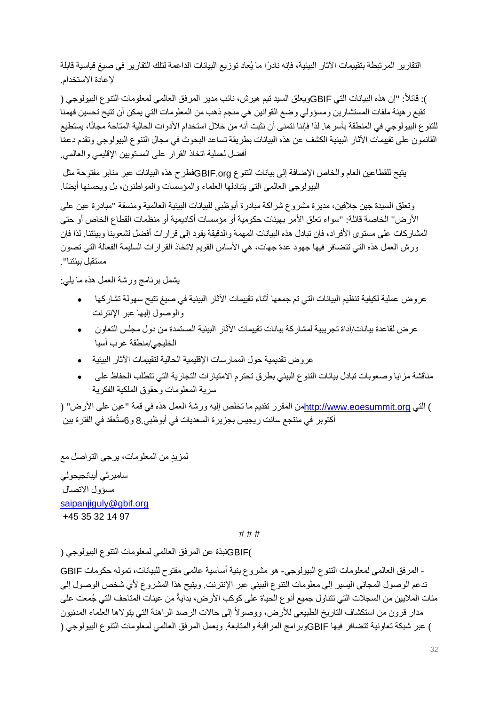ً التقاریر المرتبطة بتقییمات الآثار البیئیة، فإنھ نادرا ما یُعاد توزیع البیانات الداعمة لتلك التقاریر في صیغ قیاسیة قابلة لإعادة الاستخدام.

): قائلاً: "إن هذه البيانات التي GBIFويعلق السيد تيم هيرش، نائب مدير المرفق العالمي لمعلومات التنو ع البيولوجي ( تقبع رھینة ملفات المستشارین ومسؤولي وضع القوانین ھي منجم ذھب من المعلومات التي یمكن أن تتیح تحسین فھمنا للتنو ع البيولوجي في المنطقة بأسر ها. لذا فإننا نتمنى أن نثبت أنه من خلال استخدام الأدوات الحالية المتاحة مجانًا، يستطيع ً القائمون على تقییمات الآثار البیئیة الكشف عن ھذه البیانات بطریقة تساعد البحوث في مجال التنوع البیولوجي وتقدم دعما أفضل لعملیة اتخاذ القرار على المستویین الإقلیمي والعالمي.

یتیح للقطاعین العام والخاص الإضافة إلى بیانات التنوع org.GBIFفطرح ھذه البیانات عبر منابر مفتوحة مثل ً البیولوجي العالمي التي یتبادلھا العلماء والمؤسسات والمواطنون، بل ویحسنھا أیضا.

وتعلق السیدة جین جلافین، مدیرة مشروع شراكة مبادرة أبوظبي للبیانات البیئیة العالمیة ومنسقة "مبادرة عین على الأرض" الخاصة قائلة: "سواء تعلق الأمر بھیئات حكومیة أو مؤسسات أكادیمیة أو منظمات القطاع الخاص أو حتى المشاركات على مستوى الأفراد، فإن تبادل ھذه البیانات المھمة والدقیقة یقود إلى قرارات أفضل لشعوبنا وبیئتنا. لذا فإن ورش العمل ھذه التي تتضافر فیھا جھود عدة جھات، ھي الأساس القویم لاتخاذ القرارات السلیمة الفعالة التي تصون مستقبل بیئتنا".

یشمل برنامج ورشة العمل ھذه ما یلي:

- عروض عملیة لكیفیة تنظیم البیانات التي تم جمعھا أثناء تقییمات الآثار البیئیة في صیغ تتیح سھولة تشاركھا والوصول إلیھا عبر الإنترنت
- عرض لقاعدة بیانات/أداة تجریبیة لمشاركة بیانات تقییمات الآثار البیئیة المستمدة من دول مجلس التعاون الخلیجي/منطقة غرب آسیا
- عروض تقدیمیة حول الممارسات الإقلیمیة الحالیة لتقییمات الآثار البیئیة •
- مناقشة مزایا وصعوبات تبادل بیانات التنوع البیئي بطرق تحترم الامتیازات التجاریة التي تتطلب الحفاظ على سریة المعلومات وحقوق الملكیة الفكریة

) التي http://www.eoesummit.orgمن المقرر تقدیم ما تخلص إلیه ورشة العمل هذه في قمة "عین على الأرض" [\(](http://www.eoesummit.org/) أكتوبر في منتجع سانت ريجيس بجزيرة السعديات في أبوظبي.8 و6ستُعقد في الفتر ة بين

ٍ لمزید من المعلومات، یرجى التواصل مع سامبرثي أیبانجیجولي مسؤول الاتصال [saipanjiguly@gbif.org](mailto:saipanjiguly@gbif.org) +45 35 32 14 97

# # #

)GBIFنبذة عن المرفق العالمي لمعلومات التنوع البیولوجي (

- المرفق العالمي لمعلومات التنوع البیولوجي**-** ھو مشروع بنیة أساسیة عالمي مفتوح للبیانات، تمولھ حكومات GBIF تدعم الوصول المجاني الیسیر إلى معلومات التنوع البیئي عبر الإنترنت. ویتیح ھذا المشروع لأي شخص الوصول إلى مئات الملايين من السجلات التي تتناول جميع أنو ع الحياة على كوكب الأرض، بدايةً من عينات المتاحف التي جُمعت على مدار قرون من استكشاف التاريخ الطبيعي للأرض، ووصولاً إلى حالات الرصد الراهنة التي يتولاها العلماء المدنيون ) عبر شبكة تعاونیة تتضافر فیھا GBIFوبرامج المراقبة والمتابعة. ویعمل المرفق العالمي لمعلومات التنوع البیولوجي (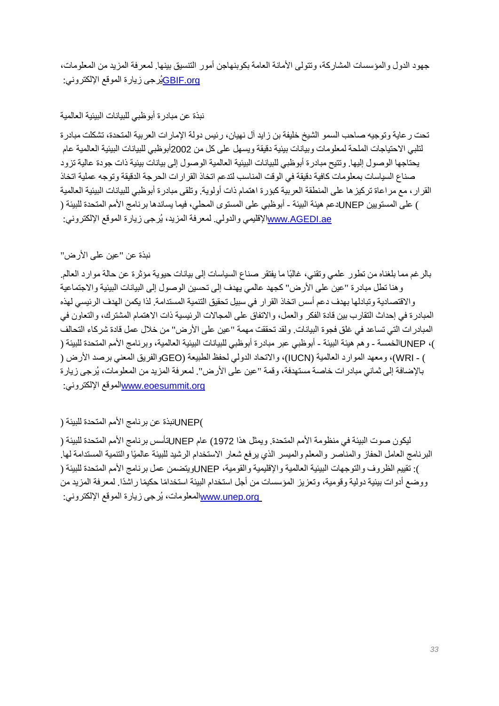جھود الدول والمؤسسات المشاركة، وتتولى الأمانة العامة بكوبنھاجن أمور التنسیق بینھا. لمعرفة المزید من المعلومات، [org.GBIF](http://www.gbif.org/)یُرجى زیارة الموقع الإلكتروني:

## نبذة عن مبادرة أبوظبي للبیانات البیئیة العالمیة

تحت رعایة وتوجیھ صاحب السمو الشیخ خلیفة بن زاید آل نھیان، رئیس دولة الإمارات العربیة المتحدة، تشكلت مبادرة لتلبي الاحتیاجات الملحة لمعلومات وبیانات بیئیة دقیقة ویسھل على كل من 2002أبوظبي للبیانات البیئیة العالمیة عام یحتاجھا الوصول إلیھا. وتتیح مبادرة أبوظبي للبیانات البیئیة العالمیة الوصول إلى بیانات بیئیة ذات جودة عالیة تزود صناع السیاسات بمعلومات كافیة دقیقة في الوقت المناسب لتدعم اتخاذ القرارات الحرجة الدقیقة وتوجھ عملیة اتخاذ القرار، مع مراعاة تركیزھا على المنطقة العربیة كبؤرة اھتمام ذات أولویة. وتلقى مبادرة أبوظبي للبیانات البیئیة العالمیة ) على المستویین UNEPدعم ھیئة البیئة - أبوظبي على المستوى المحلي، فیما یساندھا برنامج الأمم المتحدة للبیئة ( [ae.AGEDI.www](http://www.agedi.ae/)الإقلیمي والدولي. لمعرفة المزید، یُرجى زیارة الموقع الإلكتروني:

# نبذة عن "عین على الأرض"

بالرغم مما بلغناه من تطور علمي وتقني، غالبًا ما یفتقر صناع السیاسات إلى بیانات حیویة مؤثرة عن حالة موارد العالم. وھنا تطل مبادرة "عین على الأرض" كجھد عالمي یھدف إلى تحسین الوصول إلى البیانات البیئیة والاجتماعیة والاقتصادیة وتبادلھا بھدف دعم أسس اتخاذ القرار في سبیل تحقیق التنمیة المستدامة. لذا یكمن الھدف الرئیسي لھذه المبادرة في إحداث التقارب بین قادة الفكر والعمل، والاتفاق على المجالات الرئیسیة ذات الاھتمام المشترك، والتعاون في المبادرات التي تساعد في غلق فجوة البیانات. ولقد تحققت مھمة "عین على الأرض" من خلال عمل قادة شركاء التحالف )، UNEPالخمسة - وھم ھیئة البیئة - أبوظبي عبر مبادرة أبوظبي للبیانات البیئیة العالمیة، وبرنامج الأمم المتحدة للبیئة ( ) - WRI(، ومعھد الموارد العالمیة (IUCN(، والاتحاد الدولي لحفظ الطبیعة (GEOوالفریق المعني برصد الأرض ( بالإضافة إلى ثماني مبادرات خاصة مستھدفة، وقمة "عین على الأرض". لمعرفة المزید من المعلومات، یُرجى زیارة :الإلكتروني الموقع[www.eoesummit.org](http://www.eoesummit.org/)

# )UNEPنبذة عن برنامج الأمم المتحدة للبیئة (

لیكون صوت البیئة في منظومة الأمم المتحدة. ویمثل ھذا 1972) عام UNEPتأسس برنامج الأمم المتحدة للبیئة ( البرنامج العامل الحفاز والمناصر والمعلم والمیسر الذي یرفع شعار الاستخدام الرشید للبیئة عالمیًا والتنمیة المستدامة لھا. ): تقییم الظروف والتوجھات البیئیة العالمیة والإقلیمیة والقومیة، UNEPویتضمن عمل برنامج الأمم المتحدة للبیئة ( ووضع أدوات بیئیة دولیة وقومیة، وتعزیز المؤسسات من أجل استخدام البیئة استخدامًا حكیمًا ر اشدًا. لمعرفة المزید من [org.unep.www](http://www.unep.org/)المعلومات، یُرجى زیارة الموقع الإلكتروني: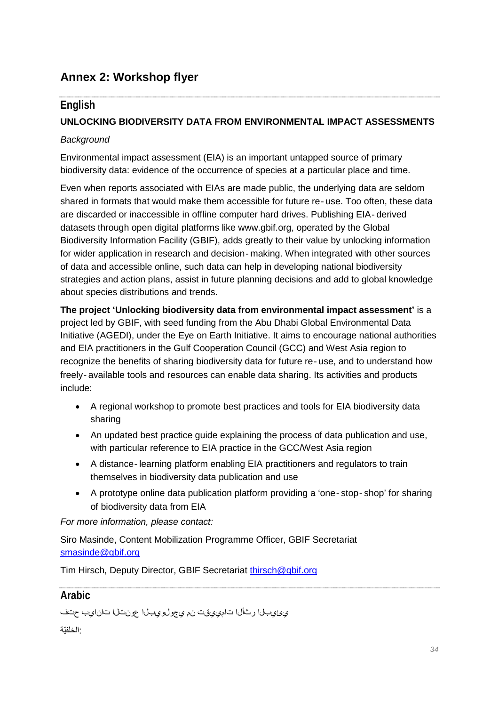# **Annex 2: Workshop flyer**

# **English**

## **UNLOCKING BIODIVERSITY DATA FROM ENVIRONMENTAL IMPACT ASSESSMENTS**

#### *Background*

Environmental impact assessment (EIA) is an important untapped source of primary biodiversity data: evidence of the occurrence of species at a particular place and time.

Even when reports associated with EIAs are made public, the underlying data are seldom shared in formats that would make them accessible for future re-use. Too often, these data are discarded or inaccessible in offline computer hard drives. Publishing EIA‐derived datasets through open digital platforms like www.gbif.org, operated by the Global Biodiversity Information Facility (GBIF), adds greatly to their value by unlocking information for wider application in research and decision-making. When integrated with other sources of data and accessible online, such data can help in developing national biodiversity strategies and action plans, assist in future planning decisions and add to global knowledge about species distributions and trends.

**The project 'Unlocking biodiversity data from environmental impact assessment'** is a project led by GBIF, with seed funding from the Abu Dhabi Global Environmental Data Initiative (AGEDI), under the Eye on Earth Initiative. It aims to encourage national authorities and EIA practitioners in the Gulf Cooperation Council (GCC) and West Asia region to recognize the benefits of sharing biodiversity data for future re‐use, and to understand how freely‐available tools and resources can enable data sharing. Its activities and products include:

- A regional workshop to promote best practices and tools for EIA biodiversity data sharing
- An updated best practice guide explaining the process of data publication and use, with particular reference to EIA practice in the GCC/West Asia region
- A distance-learning platform enabling EIA practitioners and regulators to train themselves in biodiversity data publication and use
- A prototype online data publication platform providing a 'one‐stop‐shop' for sharing of biodiversity data from EIA

*For more information, please contact:*

Siro Masinde, Content Mobilization Programme Officer, GBIF Secretariat [smasinde@gbif.org](mailto:smasinde@gbif.org)

Tim Hirsch, Deputy Director, GBIF Secretariat [thirsch@gbif.org](mailto:thirsch@gbif.org)

# **Arabic**

```
يئيبلا رثألا تامييقت نم يجولويبلا عونتلا تانايب حتف
:الخلفیّة
```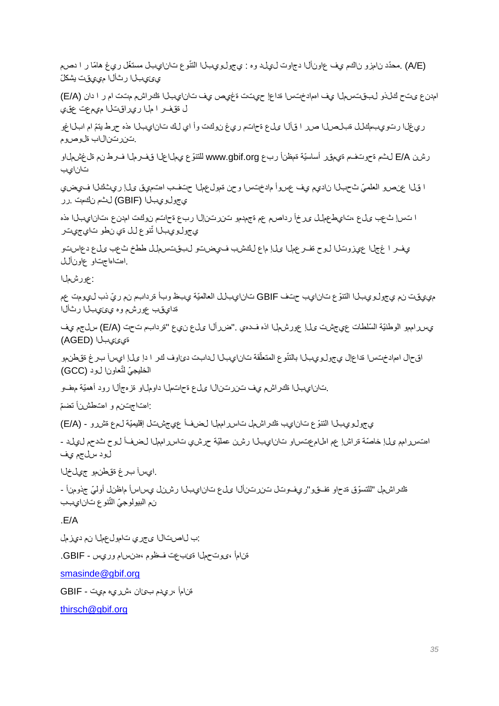ّوع تانايبل ّ مستغل ريغ ھامّا ر ا دصم (E/A (. ّ محدد نامزو ناكم يف عاونألا دجاوت ليلد وه : يجولويبلا التن يئيبلا رثألا مييقت یشكلّ

امدنع ىتح كلذو لبقتسملا يف اهمادختسا ةداعإ حيتت ةغيص يف تانايبلا ةكراشم متت ام ر ا دان (A/E( ل ةقفر ا ملا ريراقتلا ميمعت عقي

ري غلا رتويبمكلل ةبلصلا صر ا قألا على ةحاتم ري غ نوكت وأ اي لك تانايبلا هذه حرط يتمّ ام ابلاغو .تنرتنالاب ةلوصوم

رشن E/A لثم ةحوتفم ةيمقر أساسيّة ةمظنأ ربع www.gbif.org للتنوّع يملاعلا قف رملا فدعل لم تغشملاو تانايب

ا قلاا عنصو العلميّ ثحبلاا ناديم ي عسوأ مادختسا وحن ةمول عمل حتف اهتميق ىله ريثكلا فيصن يجولويبلا (GBIF (لثم نكمت .رر

ا تسإ ثعب ىلع ،تايطعملل ىرخأ رداصم عم ةجمدمو تنرتنإلا ربع ةحاتم نوكت امدنع ،تانايبلا هذه يجولويبال تٌنوع لل ةي نطو تايجيتر

ي ف الحجل اع يزوت لا لوح ةف رعمل علا ماع لكشب فيضت لبقت سمل ططخ ث عب على دع ست .اهتاهاجتاو عاونألل

:عورشملا

مييقت نم يجولويبلا التنوّ ع تانايب حتف GBIF تانايبلل العالمیّة يبظ وبأ ةردابم نم ريّ ذب ليومت عم ةدايقب عورشم وه يئيبلا رثألا

يس رامهو الوطنيّة السّلطات عي جشت ىل! عورشهل ااذه فــدهي ."ض رأل ا ىل ع ن ي ع "ةردابم تحت (E/A) سل جم ي ف ةيئيبلا (AGED(

اقحال اممادختسرا ةداعإل ي جول وي بـال بالنتّوع المنعلّقة تان(ي بـال لدابت دئاوف كـر ١ دإ ىل! ايس[ بـرغ ةقطنمو الخليجيّ لتّعاونا لود (GCC)

.تانايبلا ةكراشم يف تنرتنالا ىلع ةحاتملا داوملاو ةزەجألا رود أهمیّة مهفو

:اهتاجتنم و اهتطشنأ ّ تضم

يجولويبلا التنوّ ع تانايب ةكراشمل تاسرامملا لضفأ عيجشتل إقلیمیّة لمع ةشرو - (A/E(

اهتسررامم ىل! خاصّة ةراش! عم اهلامعتساو تانايبلا رشن عمليّة حرشي تاسررامهلا لضفاً لوح ثدحم ليملد -لود سلجم يف

.ايسآ برغ ةقطنمو جيلخلا

ةكراشهل "للتسوّق قدحاو قفقوو"ريفوتال تنزرتنألا ىلع تانايبلا رشنل يساسأ ماظنل أولميّ جذومنأ -نم البيولوجيّ الثّنوع تان|يبب

.E/A

:ب لاصتالا ىجري تامولعملا نم ديزمل

ةنامأ ،ىوتحملا ةئبعت فظوم ،هدنسام وريس - GBIF.

[smasinde@gbif.org](mailto:smasinde@gbif.org)

ةنامأ ،ريدم بئان ،شريه ميت - GBIF

[thirsch@gbif.org](mailto:thirsch@gbif.org)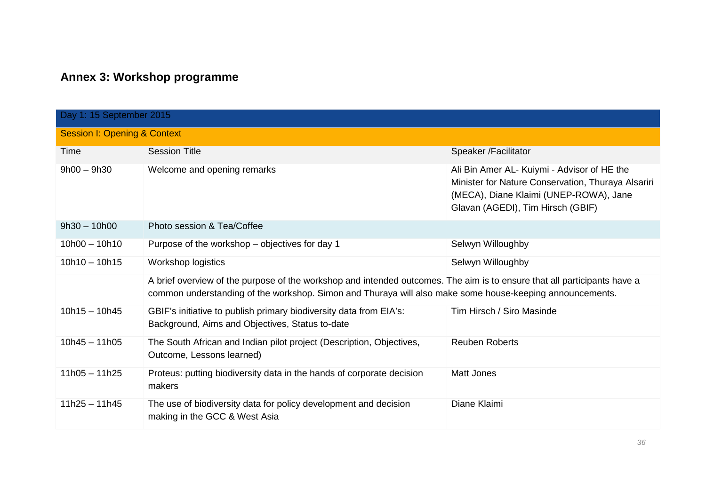# **Annex 3: Workshop programme**

| Day 1: 15 September 2015 |                                                                                                                                                                                                                                      |                                                                                                                                                                                  |  |
|--------------------------|--------------------------------------------------------------------------------------------------------------------------------------------------------------------------------------------------------------------------------------|----------------------------------------------------------------------------------------------------------------------------------------------------------------------------------|--|
|                          | <b>Session I: Opening &amp; Context</b>                                                                                                                                                                                              |                                                                                                                                                                                  |  |
| Time                     | <b>Session Title</b>                                                                                                                                                                                                                 | Speaker /Facilitator                                                                                                                                                             |  |
| $9h00 - 9h30$            | Welcome and opening remarks                                                                                                                                                                                                          | Ali Bin Amer AL- Kuiymi - Advisor of HE the<br>Minister for Nature Conservation, Thuraya Alsariri<br>(MECA), Diane Klaimi (UNEP-ROWA), Jane<br>Glavan (AGEDI), Tim Hirsch (GBIF) |  |
| $9h30 - 10h00$           | Photo session & Tea/Coffee                                                                                                                                                                                                           |                                                                                                                                                                                  |  |
| $10h00 - 10h10$          | Purpose of the workshop – objectives for day 1                                                                                                                                                                                       | Selwyn Willoughby                                                                                                                                                                |  |
| $10h10 - 10h15$          | Workshop logistics                                                                                                                                                                                                                   | Selwyn Willoughby                                                                                                                                                                |  |
|                          | A brief overview of the purpose of the workshop and intended outcomes. The aim is to ensure that all participants have a<br>common understanding of the workshop. Simon and Thuraya will also make some house-keeping announcements. |                                                                                                                                                                                  |  |
| $10h15 - 10h45$          | GBIF's initiative to publish primary biodiversity data from EIA's:<br>Background, Aims and Objectives, Status to-date                                                                                                                | Tim Hirsch / Siro Masinde                                                                                                                                                        |  |
| $10h45 - 11h05$          | The South African and Indian pilot project (Description, Objectives,<br>Outcome, Lessons learned)                                                                                                                                    | <b>Reuben Roberts</b>                                                                                                                                                            |  |
| $11h05 - 11h25$          | Proteus: putting biodiversity data in the hands of corporate decision<br>makers                                                                                                                                                      | <b>Matt Jones</b>                                                                                                                                                                |  |
| $11h25 - 11h45$          | The use of biodiversity data for policy development and decision<br>making in the GCC & West Asia                                                                                                                                    | Diane Klaimi                                                                                                                                                                     |  |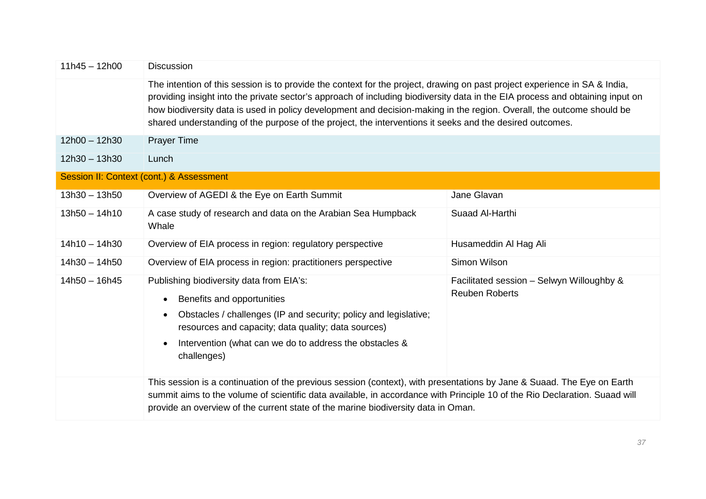| $11h45 - 12h00$ | <b>Discussion</b>                                                                                                                                                                                                                                                                                                                                                                                                                                                                                |                                                                    |
|-----------------|--------------------------------------------------------------------------------------------------------------------------------------------------------------------------------------------------------------------------------------------------------------------------------------------------------------------------------------------------------------------------------------------------------------------------------------------------------------------------------------------------|--------------------------------------------------------------------|
|                 | The intention of this session is to provide the context for the project, drawing on past project experience in SA & India,<br>providing insight into the private sector's approach of including biodiversity data in the EIA process and obtaining input on<br>how biodiversity data is used in policy development and decision-making in the region. Overall, the outcome should be<br>shared understanding of the purpose of the project, the interventions it seeks and the desired outcomes. |                                                                    |
| $12h00 - 12h30$ | <b>Prayer Time</b>                                                                                                                                                                                                                                                                                                                                                                                                                                                                               |                                                                    |
| $12h30 - 13h30$ | Lunch                                                                                                                                                                                                                                                                                                                                                                                                                                                                                            |                                                                    |
|                 | Session II: Context (cont.) & Assessment                                                                                                                                                                                                                                                                                                                                                                                                                                                         |                                                                    |
| $13h30 - 13h50$ | Overview of AGEDI & the Eye on Earth Summit                                                                                                                                                                                                                                                                                                                                                                                                                                                      | Jane Glavan                                                        |
| $13h50 - 14h10$ | A case study of research and data on the Arabian Sea Humpback<br>Whale                                                                                                                                                                                                                                                                                                                                                                                                                           | Suaad Al-Harthi                                                    |
| $14h10 - 14h30$ | Overview of EIA process in region: regulatory perspective                                                                                                                                                                                                                                                                                                                                                                                                                                        | Husameddin Al Hag Ali                                              |
| $14h30 - 14h50$ | Overview of EIA process in region: practitioners perspective                                                                                                                                                                                                                                                                                                                                                                                                                                     | Simon Wilson                                                       |
| $14h50 - 16h45$ | Publishing biodiversity data from EIA's:<br>Benefits and opportunities<br>$\bullet$<br>Obstacles / challenges (IP and security; policy and legislative;<br>$\bullet$<br>resources and capacity; data quality; data sources)<br>Intervention (what can we do to address the obstacles &<br>$\bullet$<br>challenges)                                                                                                                                                                               | Facilitated session - Selwyn Willoughby &<br><b>Reuben Roberts</b> |
|                 | This session is a continuation of the previous session (context), with presentations by Jane & Suaad. The Eye on Earth<br>summit aims to the volume of scientific data available, in accordance with Principle 10 of the Rio Declaration. Suaad will<br>provide an overview of the current state of the marine biodiversity data in Oman.                                                                                                                                                        |                                                                    |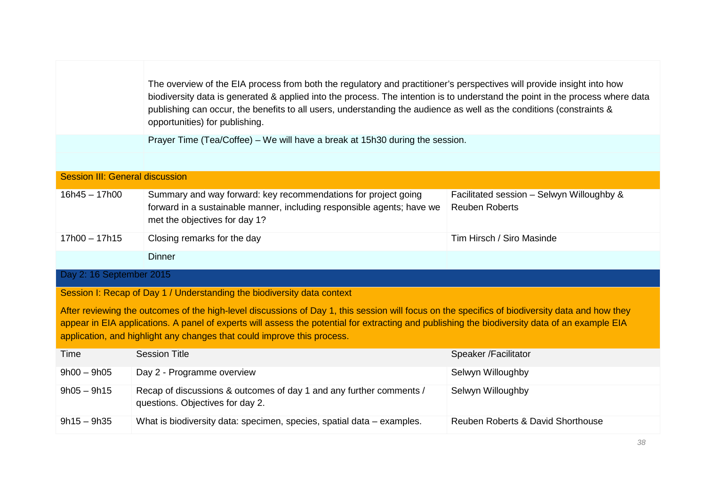|                                                                         | The overview of the EIA process from both the regulatory and practitioner's perspectives will provide insight into how<br>biodiversity data is generated & applied into the process. The intention is to understand the point in the process where data<br>publishing can occur, the benefits to all users, understanding the audience as well as the conditions (constraints &<br>opportunities) for publishing. |                                                                    |
|-------------------------------------------------------------------------|-------------------------------------------------------------------------------------------------------------------------------------------------------------------------------------------------------------------------------------------------------------------------------------------------------------------------------------------------------------------------------------------------------------------|--------------------------------------------------------------------|
|                                                                         | Prayer Time (Tea/Coffee) – We will have a break at 15h30 during the session.                                                                                                                                                                                                                                                                                                                                      |                                                                    |
|                                                                         |                                                                                                                                                                                                                                                                                                                                                                                                                   |                                                                    |
| <b>Session III: General discussion</b>                                  |                                                                                                                                                                                                                                                                                                                                                                                                                   |                                                                    |
| $16h45 - 17h00$                                                         | Summary and way forward: key recommendations for project going<br>forward in a sustainable manner, including responsible agents; have we<br>met the objectives for day 1?                                                                                                                                                                                                                                         | Facilitated session - Selwyn Willoughby &<br><b>Reuben Roberts</b> |
| $17h00 - 17h15$                                                         | Closing remarks for the day                                                                                                                                                                                                                                                                                                                                                                                       | Tim Hirsch / Siro Masinde                                          |
|                                                                         | <b>Dinner</b>                                                                                                                                                                                                                                                                                                                                                                                                     |                                                                    |
| Day 2: 16 September 2015                                                |                                                                                                                                                                                                                                                                                                                                                                                                                   |                                                                    |
| Session I: Recap of Day 1 / Understanding the biodiversity data context |                                                                                                                                                                                                                                                                                                                                                                                                                   |                                                                    |
|                                                                         | After reviewing the outcomes of the high-level discussions of Day 1, this session will focus on the specifics of biodiversity data and how they<br>appear in EIA applications. A panel of experts will assess the potential for extracting and publishing the biodiversity data of an example EIA<br>application, and highlight any changes that could improve this process.                                      |                                                                    |
| Time                                                                    | <b>Session Title</b>                                                                                                                                                                                                                                                                                                                                                                                              | Speaker / Facilitator                                              |
| $9h00 - 9h05$                                                           | Day 2 - Programme overview                                                                                                                                                                                                                                                                                                                                                                                        | Selwyn Willoughby                                                  |
| $9h05 - 9h15$                                                           | Recap of discussions & outcomes of day 1 and any further comments /<br>questions. Objectives for day 2.                                                                                                                                                                                                                                                                                                           | Selwyn Willoughby                                                  |
| $9h15 - 9h35$                                                           | What is biodiversity data: specimen, species, spatial data – examples.                                                                                                                                                                                                                                                                                                                                            | Reuben Roberts & David Shorthouse                                  |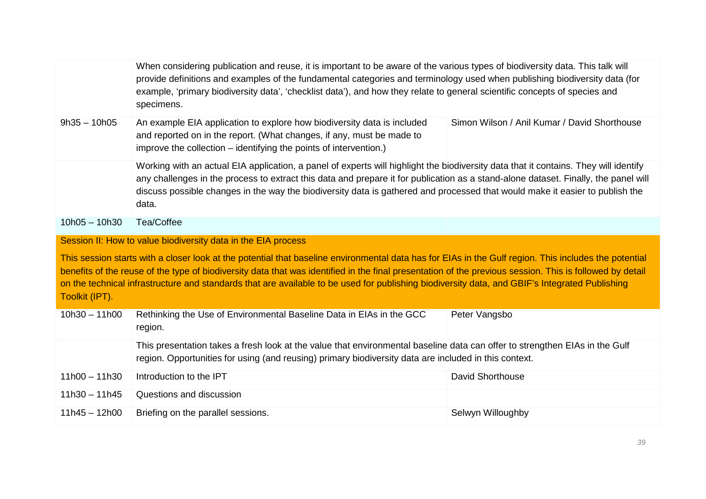|                 | When considering publication and reuse, it is important to be aware of the various types of biodiversity data. This talk will<br>provide definitions and examples of the fundamental categories and terminology used when publishing biodiversity data (for<br>example, 'primary biodiversity data', 'checklist data'), and how they relate to general scientific concepts of species and<br>specimens.                                                             |                                              |
|-----------------|---------------------------------------------------------------------------------------------------------------------------------------------------------------------------------------------------------------------------------------------------------------------------------------------------------------------------------------------------------------------------------------------------------------------------------------------------------------------|----------------------------------------------|
| $9h35 - 10h05$  | An example EIA application to explore how biodiversity data is included<br>and reported on in the report. (What changes, if any, must be made to<br>improve the collection - identifying the points of intervention.)                                                                                                                                                                                                                                               | Simon Wilson / Anil Kumar / David Shorthouse |
|                 | Working with an actual EIA application, a panel of experts will highlight the biodiversity data that it contains. They will identify<br>any challenges in the process to extract this data and prepare it for publication as a stand-alone dataset. Finally, the panel will<br>discuss possible changes in the way the biodiversity data is gathered and processed that would make it easier to publish the<br>data.                                                |                                              |
| $10h05 - 10h30$ | Tea/Coffee                                                                                                                                                                                                                                                                                                                                                                                                                                                          |                                              |
|                 | Session II: How to value biodiversity data in the EIA process                                                                                                                                                                                                                                                                                                                                                                                                       |                                              |
| Toolkit (IPT).  | This session starts with a closer look at the potential that baseline environmental data has for EIAs in the Gulf region. This includes the potential<br>benefits of the reuse of the type of biodiversity data that was identified in the final presentation of the previous session. This is followed by detail<br>on the technical infrastructure and standards that are available to be used for publishing biodiversity data, and GBIF's Integrated Publishing |                                              |
| $10h30 - 11h00$ | Rethinking the Use of Environmental Baseline Data in EIAs in the GCC<br>region.                                                                                                                                                                                                                                                                                                                                                                                     | Peter Vangsbo                                |
|                 | This presentation takes a fresh look at the value that environmental baseline data can offer to strengthen EIAs in the Gulf<br>region. Opportunities for using (and reusing) primary biodiversity data are included in this context.                                                                                                                                                                                                                                |                                              |
| $11h00 - 11h30$ | Introduction to the IPT                                                                                                                                                                                                                                                                                                                                                                                                                                             | <b>David Shorthouse</b>                      |
| $11h30 - 11h45$ | Questions and discussion                                                                                                                                                                                                                                                                                                                                                                                                                                            |                                              |
| $11h45 - 12h00$ |                                                                                                                                                                                                                                                                                                                                                                                                                                                                     |                                              |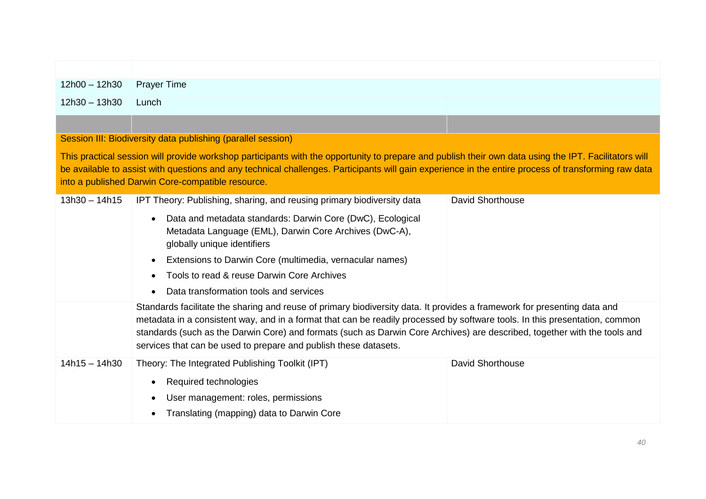| $12h00 - 12h30$ | <b>Prayer Time</b>                                                                                                                                                                                                                                                                                                                                                                                                                                       |
|-----------------|----------------------------------------------------------------------------------------------------------------------------------------------------------------------------------------------------------------------------------------------------------------------------------------------------------------------------------------------------------------------------------------------------------------------------------------------------------|
| $12h30 - 13h30$ | Lunch                                                                                                                                                                                                                                                                                                                                                                                                                                                    |
|                 |                                                                                                                                                                                                                                                                                                                                                                                                                                                          |
|                 | Session III: Biodiversity data publishing (parallel session)                                                                                                                                                                                                                                                                                                                                                                                             |
|                 | This practical session will provide workshop participants with the opportunity to prepare and publish their own data using the IPT. Facilitators will<br>be available to assist with questions and any technical challenges. Participants will gain experience in the entire process of transforming raw data<br>into a published Darwin Core-compatible resource.                                                                                       |
| $13h30 - 14h15$ | <b>David Shorthouse</b><br>IPT Theory: Publishing, sharing, and reusing primary biodiversity data                                                                                                                                                                                                                                                                                                                                                        |
|                 | Data and metadata standards: Darwin Core (DwC), Ecological<br>$\bullet$<br>Metadata Language (EML), Darwin Core Archives (DwC-A),<br>globally unique identifiers<br>Extensions to Darwin Core (multimedia, vernacular names)<br>Tools to read & reuse Darwin Core Archives<br>Data transformation tools and services<br>$\bullet$                                                                                                                        |
|                 | Standards facilitate the sharing and reuse of primary biodiversity data. It provides a framework for presenting data and<br>metadata in a consistent way, and in a format that can be readily processed by software tools. In this presentation, common<br>standards (such as the Darwin Core) and formats (such as Darwin Core Archives) are described, together with the tools and<br>services that can be used to prepare and publish these datasets. |
| $14h15 - 14h30$ | <b>David Shorthouse</b><br>Theory: The Integrated Publishing Toolkit (IPT)<br>Required technologies<br>$\bullet$<br>User management: roles, permissions<br>Translating (mapping) data to Darwin Core<br>$\bullet$                                                                                                                                                                                                                                        |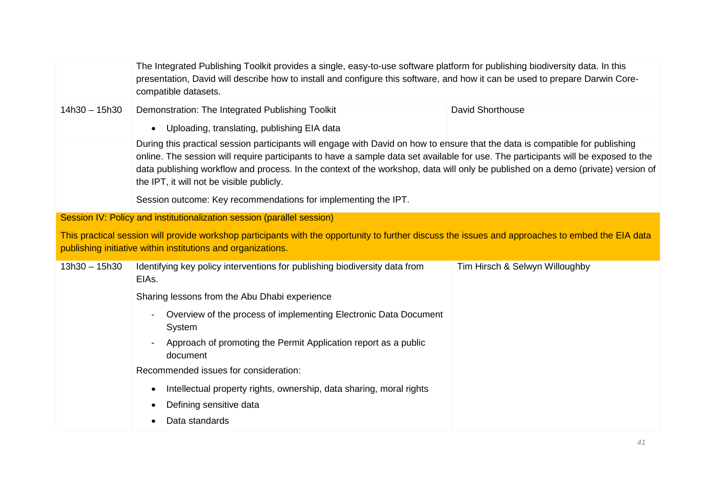|                 | The Integrated Publishing Toolkit provides a single, easy-to-use software platform for publishing biodiversity data. In this<br>presentation, David will describe how to install and configure this software, and how it can be used to prepare Darwin Core-<br>compatible datasets.                                                                                                                                                                                                                                   |                                |
|-----------------|------------------------------------------------------------------------------------------------------------------------------------------------------------------------------------------------------------------------------------------------------------------------------------------------------------------------------------------------------------------------------------------------------------------------------------------------------------------------------------------------------------------------|--------------------------------|
| $14h30 - 15h30$ | Demonstration: The Integrated Publishing Toolkit                                                                                                                                                                                                                                                                                                                                                                                                                                                                       | <b>David Shorthouse</b>        |
|                 | Uploading, translating, publishing EIA data                                                                                                                                                                                                                                                                                                                                                                                                                                                                            |                                |
|                 | During this practical session participants will engage with David on how to ensure that the data is compatible for publishing<br>online. The session will require participants to have a sample data set available for use. The participants will be exposed to the<br>data publishing workflow and process. In the context of the workshop, data will only be published on a demo (private) version of<br>the IPT, it will not be visible publicly.<br>Session outcome: Key recommendations for implementing the IPT. |                                |
|                 | Session IV: Policy and institutionalization session (parallel session)                                                                                                                                                                                                                                                                                                                                                                                                                                                 |                                |
|                 | This practical session will provide workshop participants with the opportunity to further discuss the issues and approaches to embed the EIA data                                                                                                                                                                                                                                                                                                                                                                      |                                |
|                 | publishing initiative within institutions and organizations.                                                                                                                                                                                                                                                                                                                                                                                                                                                           |                                |
| $13h30 - 15h30$ | Identifying key policy interventions for publishing biodiversity data from<br>EIAs.                                                                                                                                                                                                                                                                                                                                                                                                                                    | Tim Hirsch & Selwyn Willoughby |
|                 | Sharing lessons from the Abu Dhabi experience                                                                                                                                                                                                                                                                                                                                                                                                                                                                          |                                |
|                 | Overview of the process of implementing Electronic Data Document<br>System                                                                                                                                                                                                                                                                                                                                                                                                                                             |                                |
|                 | Approach of promoting the Permit Application report as a public<br>document                                                                                                                                                                                                                                                                                                                                                                                                                                            |                                |
|                 | Recommended issues for consideration:                                                                                                                                                                                                                                                                                                                                                                                                                                                                                  |                                |
|                 | Intellectual property rights, ownership, data sharing, moral rights<br>$\bullet$                                                                                                                                                                                                                                                                                                                                                                                                                                       |                                |
|                 | Defining sensitive data                                                                                                                                                                                                                                                                                                                                                                                                                                                                                                |                                |
|                 | Data standards                                                                                                                                                                                                                                                                                                                                                                                                                                                                                                         |                                |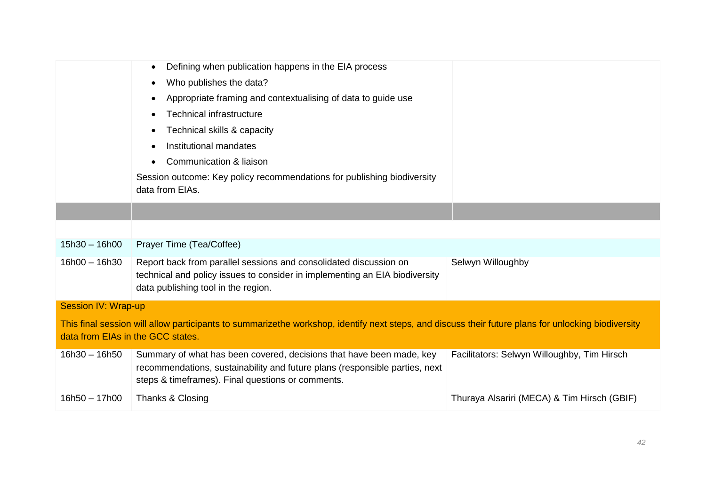|                                   | Defining when publication happens in the EIA process                                                                                                                                                     |                                             |
|-----------------------------------|----------------------------------------------------------------------------------------------------------------------------------------------------------------------------------------------------------|---------------------------------------------|
|                                   | Who publishes the data?                                                                                                                                                                                  |                                             |
|                                   | Appropriate framing and contextualising of data to guide use                                                                                                                                             |                                             |
|                                   | <b>Technical infrastructure</b>                                                                                                                                                                          |                                             |
|                                   | Technical skills & capacity                                                                                                                                                                              |                                             |
|                                   | Institutional mandates                                                                                                                                                                                   |                                             |
|                                   | Communication & liaison                                                                                                                                                                                  |                                             |
|                                   | Session outcome: Key policy recommendations for publishing biodiversity<br>data from EIAs.                                                                                                               |                                             |
|                                   |                                                                                                                                                                                                          |                                             |
|                                   |                                                                                                                                                                                                          |                                             |
| $15h30 - 16h00$                   | Prayer Time (Tea/Coffee)                                                                                                                                                                                 |                                             |
| $16h00 - 16h30$                   | Report back from parallel sessions and consolidated discussion on<br>technical and policy issues to consider in implementing an EIA biodiversity<br>data publishing tool in the region.                  | Selwyn Willoughby                           |
| <b>Session IV: Wrap-up</b>        |                                                                                                                                                                                                          |                                             |
| data from EIAs in the GCC states. | This final session will allow participants to summarizethe workshop, identify next steps, and discuss their future plans for unlocking biodiversity                                                      |                                             |
| $16h30 - 16h50$                   | Summary of what has been covered, decisions that have been made, key<br>recommendations, sustainability and future plans (responsible parties, next<br>steps & timeframes). Final questions or comments. | Facilitators: Selwyn Willoughby, Tim Hirsch |
| $16h50 - 17h00$                   | Thanks & Closing                                                                                                                                                                                         | Thuraya Alsariri (MECA) & Tim Hirsch (GBIF) |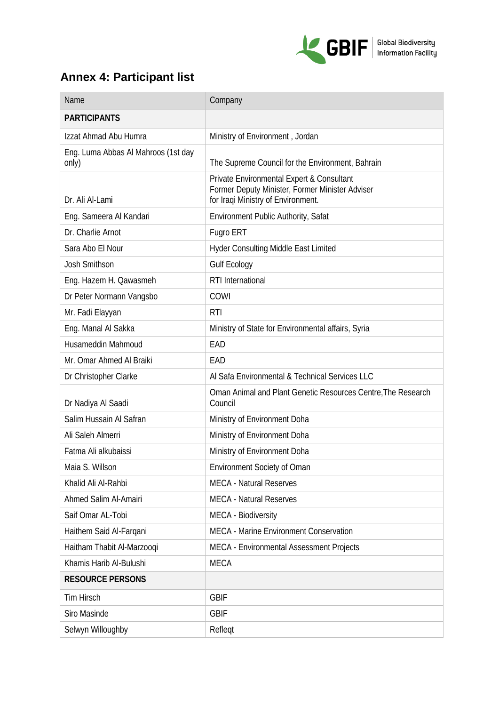

# **Annex 4: Participant list**

| Name                                         | Company                                                                                                                            |
|----------------------------------------------|------------------------------------------------------------------------------------------------------------------------------------|
| <b>PARTICIPANTS</b>                          |                                                                                                                                    |
| Izzat Ahmad Abu Humra                        | Ministry of Environment, Jordan                                                                                                    |
| Eng. Luma Abbas Al Mahroos (1st day<br>only) | The Supreme Council for the Environment, Bahrain                                                                                   |
| Dr. Ali Al-Lami                              | Private Environmental Expert & Consultant<br>Former Deputy Minister, Former Minister Adviser<br>for Iraqi Ministry of Environment. |
| Eng. Sameera Al Kandari                      | <b>Environment Public Authority, Safat</b>                                                                                         |
| Dr. Charlie Arnot                            | Fugro ERT                                                                                                                          |
| Sara Abo El Nour                             | <b>Hyder Consulting Middle East Limited</b>                                                                                        |
| Josh Smithson                                | <b>Gulf Ecology</b>                                                                                                                |
| Eng. Hazem H. Qawasmeh                       | RTI International                                                                                                                  |
| Dr Peter Normann Vangsbo                     | COWI                                                                                                                               |
| Mr. Fadi Elayyan                             | <b>RTI</b>                                                                                                                         |
| Eng. Manal Al Sakka                          | Ministry of State for Environmental affairs, Syria                                                                                 |
| Husameddin Mahmoud                           | EAD                                                                                                                                |
| Mr. Omar Ahmed Al Braiki                     | EAD                                                                                                                                |
| Dr Christopher Clarke                        | Al Safa Environmental & Technical Services LLC                                                                                     |
| Dr Nadiya Al Saadi                           | Oman Animal and Plant Genetic Resources Centre, The Research<br>Council                                                            |
| Salim Hussain Al Safran                      | Ministry of Environment Doha                                                                                                       |
| Ali Saleh Almerri                            | Ministry of Environment Doha                                                                                                       |
| Fatma Ali alkubaissi                         | Ministry of Environment Doha                                                                                                       |
| Maia S. Willson                              | Environment Society of Oman                                                                                                        |
| Khalid Ali Al-Rahbi                          | <b>MECA - Natural Reserves</b>                                                                                                     |
| Ahmed Salim Al-Amairi                        | <b>MECA - Natural Reserves</b>                                                                                                     |
| Saif Omar AL-Tobi                            | MECA - Biodiversity                                                                                                                |
| Haithem Said Al-Farqani                      | <b>MECA - Marine Environment Conservation</b>                                                                                      |
| Haitham Thabit Al-Marzooqi                   | MECA - Environmental Assessment Projects                                                                                           |
| Khamis Harib Al-Bulushi                      | <b>MECA</b>                                                                                                                        |
| <b>RESOURCE PERSONS</b>                      |                                                                                                                                    |
| Tim Hirsch                                   | <b>GBIF</b>                                                                                                                        |
| Siro Masinde                                 | <b>GBIF</b>                                                                                                                        |
| Selwyn Willoughby                            | Refleqt                                                                                                                            |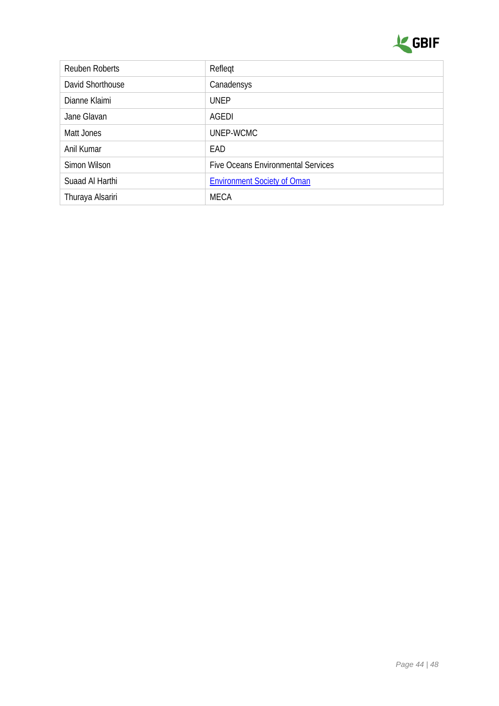

| <b>Reuben Roberts</b> | Reflegt                                   |
|-----------------------|-------------------------------------------|
| David Shorthouse      | Canadensys                                |
| Dianne Klaimi         | <b>UNEP</b>                               |
| Jane Glavan           | AGEDI                                     |
| Matt Jones            | UNEP-WCMC                                 |
| Anil Kumar            | EAD                                       |
| Simon Wilson          | <b>Five Oceans Environmental Services</b> |
| Suaad Al Harthi       | <b>Environment Society of Oman</b>        |
| Thuraya Alsariri      | <b>MECA</b>                               |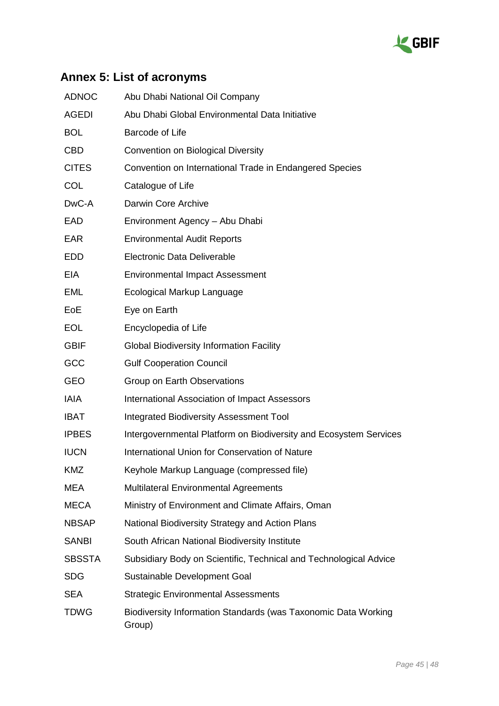

# **Annex 5: List of acronyms**

| <b>ADNOC</b>  | Abu Dhabi National Oil Company                                           |
|---------------|--------------------------------------------------------------------------|
| <b>AGEDI</b>  | Abu Dhabi Global Environmental Data Initiative                           |
| <b>BOL</b>    | <b>Barcode of Life</b>                                                   |
| <b>CBD</b>    | <b>Convention on Biological Diversity</b>                                |
| <b>CITES</b>  | Convention on International Trade in Endangered Species                  |
| <b>COL</b>    | Catalogue of Life                                                        |
| DwC-A         | Darwin Core Archive                                                      |
| EAD           | Environment Agency - Abu Dhabi                                           |
| <b>EAR</b>    | <b>Environmental Audit Reports</b>                                       |
| <b>EDD</b>    | Electronic Data Deliverable                                              |
| <b>EIA</b>    | <b>Environmental Impact Assessment</b>                                   |
| EML           | <b>Ecological Markup Language</b>                                        |
| EoE           | Eye on Earth                                                             |
| <b>EOL</b>    | Encyclopedia of Life                                                     |
| <b>GBIF</b>   | <b>Global Biodiversity Information Facility</b>                          |
| GCC           | <b>Gulf Cooperation Council</b>                                          |
| <b>GEO</b>    | Group on Earth Observations                                              |
| <b>IAIA</b>   | <b>International Association of Impact Assessors</b>                     |
| <b>IBAT</b>   | <b>Integrated Biodiversity Assessment Tool</b>                           |
| <b>IPBES</b>  | Intergovernmental Platform on Biodiversity and Ecosystem Services        |
| <b>IUCN</b>   | International Union for Conservation of Nature                           |
| <b>KMZ</b>    | Keyhole Markup Language (compressed file)                                |
| <b>MEA</b>    | <b>Multilateral Environmental Agreements</b>                             |
| <b>MECA</b>   | Ministry of Environment and Climate Affairs, Oman                        |
| <b>NBSAP</b>  | National Biodiversity Strategy and Action Plans                          |
| <b>SANBI</b>  | South African National Biodiversity Institute                            |
| <b>SBSSTA</b> | Subsidiary Body on Scientific, Technical and Technological Advice        |
| <b>SDG</b>    | Sustainable Development Goal                                             |
| <b>SEA</b>    | <b>Strategic Environmental Assessments</b>                               |
| TDWG          | Biodiversity Information Standards (was Taxonomic Data Working<br>Group) |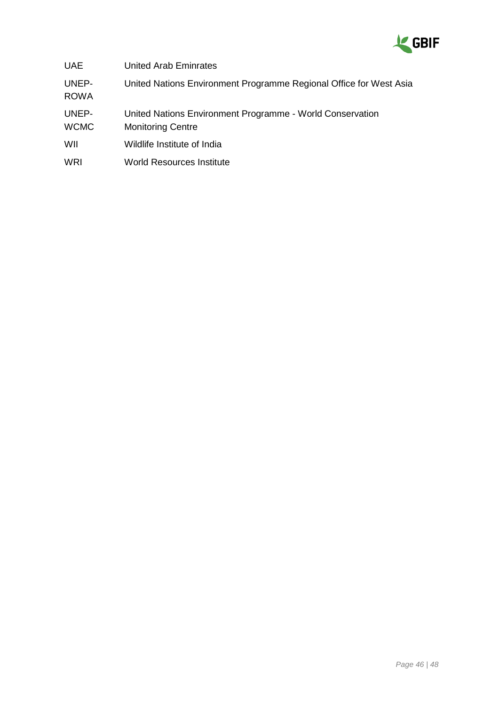

| <b>UAE</b>           | <b>United Arab Eminrates</b>                                                          |
|----------------------|---------------------------------------------------------------------------------------|
| UNEP-<br><b>ROWA</b> | United Nations Environment Programme Regional Office for West Asia                    |
| UNEP-<br><b>WCMC</b> | United Nations Environment Programme - World Conservation<br><b>Monitoring Centre</b> |
| WIL                  | Wildlife Institute of India                                                           |
| WRI                  | <b>World Resources Institute</b>                                                      |